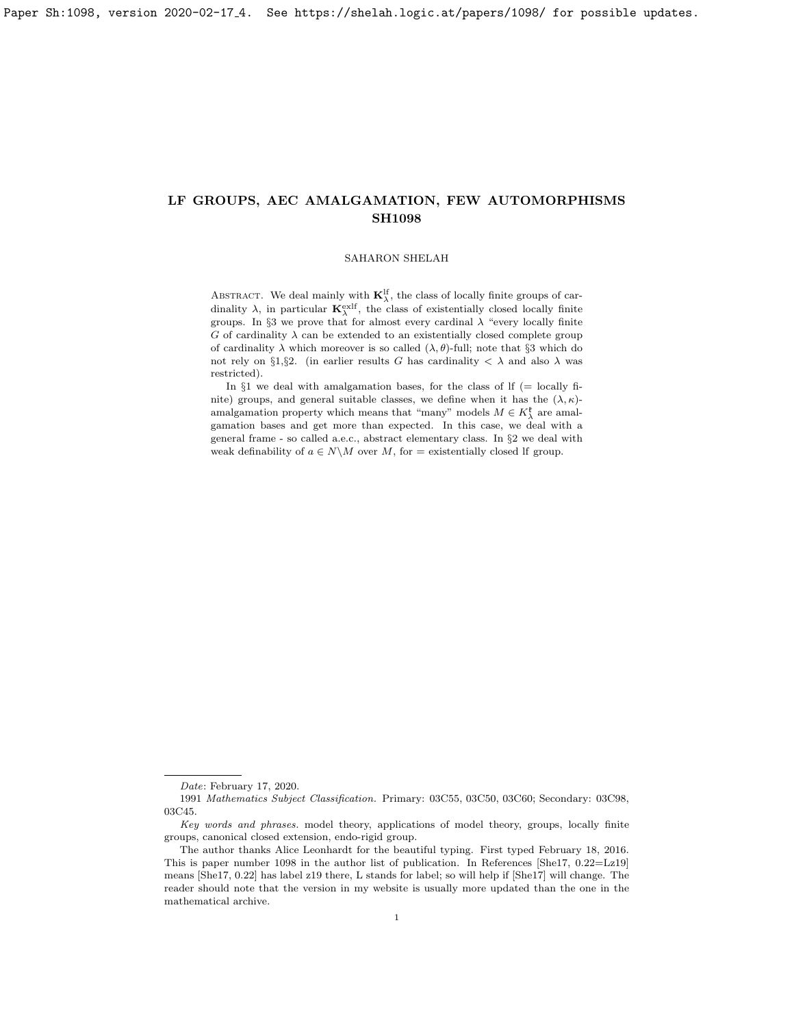#### SAHARON SHELAH

ABSTRACT. We deal mainly with  $\mathbf{K}_{\lambda}^{\text{lf}}$ , the class of locally finite groups of cardinality  $\lambda$ , in particular  $\mathbf{K}_{\lambda}^{\text{exlf}}$ , the class of existentially closed locally finite groups. In §3 we prove that for almost every cardinal  $\lambda$  "every locally finite  $G$  of cardinality  $\lambda$  can be extended to an existentially closed complete group of cardinality  $\lambda$  which moreover is so called  $(\lambda, \theta)$ -full; note that §3 which do not rely on §1,§2. (in earlier results G has cardinality  $\langle \lambda \rangle$  and also  $\lambda$  was restricted).

In  $\S1$  we deal with amalgamation bases, for the class of If (= locally finite) groups, and general suitable classes, we define when it has the  $(\lambda, \kappa)$ amalgamation property which means that "many" models  $M\in K_{\lambda}^{\mathfrak k}$  are amalgamation bases and get more than expected. In this case, we deal with a general frame - so called a.e.c., abstract elementary class. In §2 we deal with weak definability of  $a \in N \backslash M$  over M, for = existentially closed If group.

Date: February 17, 2020.

<sup>1991</sup> Mathematics Subject Classification. Primary: 03C55, 03C50, 03C60; Secondary: 03C98, 03C45.

Key words and phrases. model theory, applications of model theory, groups, locally finite groups, canonical closed extension, endo-rigid group.

The author thanks Alice Leonhardt for the beautiful typing. First typed February 18, 2016. This is paper number 1098 in the author list of publication. In References [\[She17,](#page-26-0) 0.22=Lz19] means [\[She17,](#page-26-0) 0.22] has label z19 there, L stands for label; so will help if [\[She17\]](#page-26-0) will change. The reader should note that the version in my website is usually more updated than the one in the mathematical archive.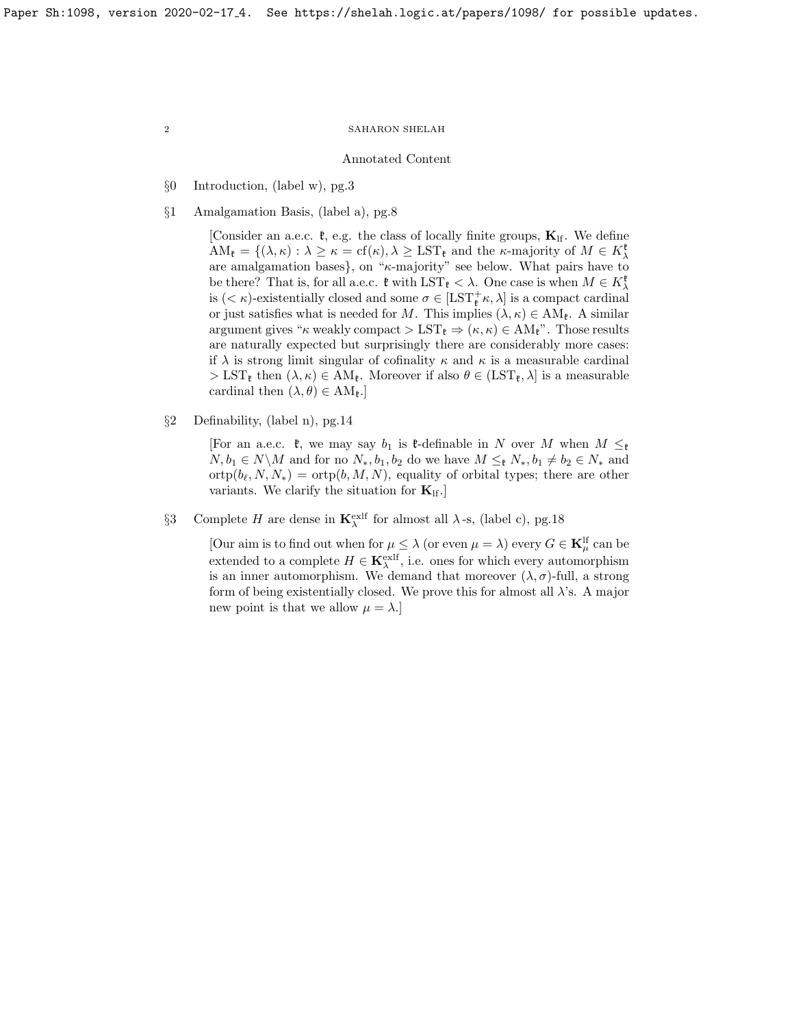#### Annotated Content

- §0 Introduction, (label w), pg[.3](#page-2-0)
- §1 Amalgamation Basis, (label a), pg[.8](#page-7-0)

[Consider an a.e.c.  $\mathfrak{k}$ , e.g. the class of locally finite groups,  $\mathbf{K}_{\text{lf}}$ . We define  $AM_{\mathfrak{k}} = \{(\lambda, \kappa) : \lambda \geq \kappa = \text{cf}(\kappa), \lambda \geq \text{LST}_{\mathfrak{k}} \text{ and the } \kappa\text{-majority of } M \in K_{\lambda}^{\mathfrak{k}}\}$ are amalgamation bases}, on " $\kappa$ -majority" see below. What pairs have to be there? That is, for all a.e.c.  $\mathfrak{k}$  with  $\text{LST}_{\mathfrak{k}} < \lambda$ . One case is when  $M \in K_{\lambda}^{\mathfrak{k}}$ is  $(<\kappa$ )-existentially closed and some  $\sigma \in [LST^+_{\mathfrak{k}}; \lambda]$  is a compact cardinal or just satisfies what is needed for M. This implies  $(\lambda, \kappa) \in AM_{\mathfrak{k}}$ . A similar argument gives " $\kappa$  weakly compact > LST<sub> $\mathfrak{k} \Rightarrow (\kappa, \kappa) \in AM_{\mathfrak{k}}$ ". Those results</sub> are naturally expected but surprisingly there are considerably more cases: if  $\lambda$  is strong limit singular of cofinality  $\kappa$  and  $\kappa$  is a measurable cardinal  $> \text{LST}_{\ell}$  then  $(\lambda, \kappa) \in AM_{\ell}$ . Moreover if also  $\theta \in (LST_{\ell}, \lambda]$  is a measurable cardinal then  $(\lambda, \theta) \in AM_{\mathfrak{k}}$ .

§2 Definability, (label n), pg[.14](#page-13-0)

[For an a.e.c.  $\mathfrak{k}$ , we may say  $b_1$  is  $\mathfrak{k}$ -definable in N over M when  $M \leq_{\mathfrak{k}}$  $N, b_1 \in N \backslash M$  and for no  $N_*, b_1, b_2$  do we have  $M \leq_{\mathfrak{k}} N_*, b_1 \neq b_2 \in N_*$  and  $\text{otp}(b_\ell, N, N_*) = \text{otp}(b, M, N)$ , equality of orbital types; there are other variants. We clarify the situation for  $\mathbf{K}_{\text{lf}}$ .

§3 Complete H are dense in  $\mathbf{K}_{\lambda}^{\text{exlf}}$  for almost all  $\lambda$ -s, (label c), pg[.18](#page-17-0)

[Our aim is to find out when for  $\mu \leq \lambda$  (or even  $\mu = \lambda$ ) every  $G \in \mathbf{K}_{\mu}^{\text{lf}}$  can be extended to a complete  $H \in \mathbf{K}_{\lambda}^{\text{exlf}}$ , i.e. ones for which every automorphism is an inner automorphism. We demand that moreover  $(\lambda, \sigma)$ -full, a strong form of being existentially closed. We prove this for almost all  $\lambda$ 's. A major new point is that we allow  $\mu = \lambda$ .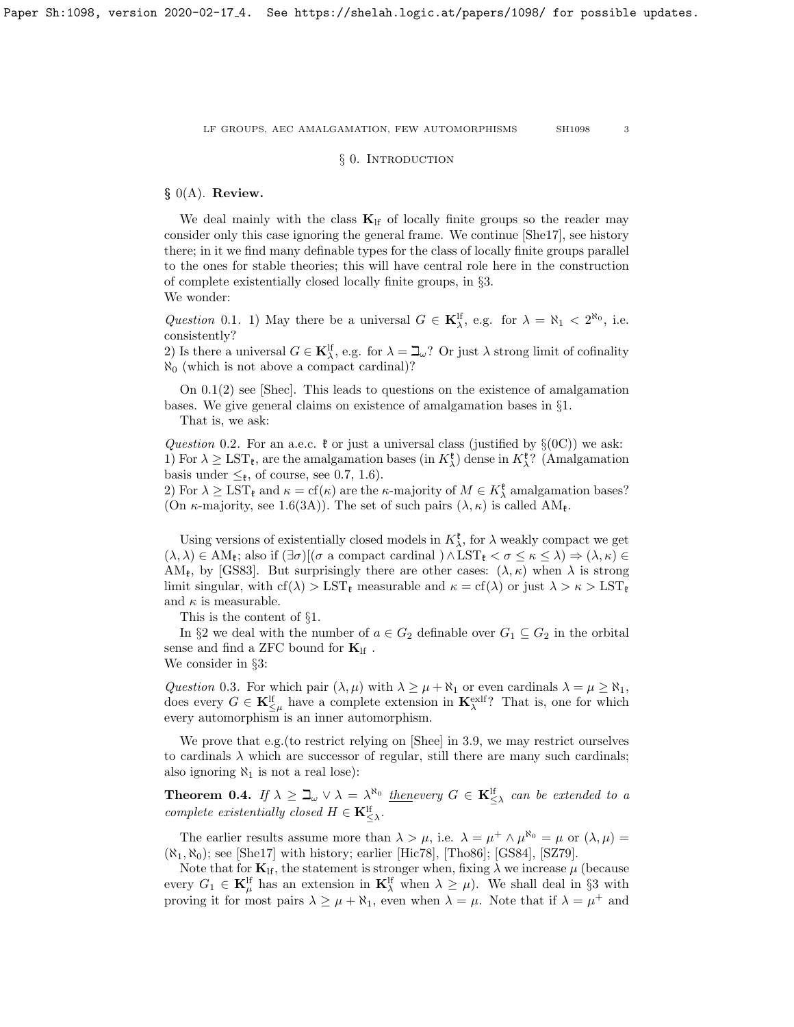## § 0. INTRODUCTION

# <span id="page-2-0"></span> $§$  0(A). Review.

We deal mainly with the class  $K<sub>lf</sub>$  of locally finite groups so the reader may consider only this case ignoring the general frame. We continue [\[She17\]](#page-26-0), see history there; in it we find many definable types for the class of locally finite groups parallel to the ones for stable theories; this will have central role here in the construction of complete existentially closed locally finite groups, in §3. We wonder:

<span id="page-2-1"></span>Question 0.1. 1) May there be a universal  $G \in \mathbf{K}_{\lambda}^{\text{lf}}$ , e.g. for  $\lambda = \aleph_1 < 2^{\aleph_0}$ , i.e. consistently?

2) Is there a universal  $G \in \mathbf{K}_{\lambda}^{\text{lf}}$ , e.g. for  $\lambda = \mathbf{L}_{\omega}$ ? Or just  $\lambda$  strong limit of cofinality  $\aleph_0$  (which is not above a compact cardinal)?

On [0.1\(](#page-2-1)2) see [\[Shec\]](#page-26-1). This leads to questions on the existence of amalgamation bases. We give general claims on existence of amalgamation bases in §1. That is, we ask:

Question 0.2. For an a.e.c.  $\mathfrak k$  or just a universal class (justified by  $\S(0C)$ ) we ask: 1) For  $\lambda \geq \text{LST}_{\mathfrak{k}}$ , are the amalgamation bases (in  $K_{\lambda}^{\mathfrak{k}}$ ) dense in  $K_{\lambda}^{\mathfrak{k}}$ ? (Amalgamation basis under  $\leq_{\mathfrak{k}}$ , of course, see [0.7,](#page-4-0) [1.6\)](#page-8-0).

2) For  $\lambda \geq \text{LST}_{\ell}$  and  $\kappa = \text{cf}(\kappa)$  are the  $\kappa$ -majority of  $M \in K_{\lambda}^{\ell}$  amalgamation bases? (On  $\kappa$ -majority, see [1.6\(](#page-8-0)3A)). The set of such pairs  $(\lambda, \kappa)$  is called  $AM_{\ell}$ .

Using versions of existentially closed models in  $K^{\mathfrak{k}}_{\lambda}$ , for  $\lambda$  weakly compact we get  $(\lambda, \lambda) \in AM_{\mathfrak{k}}$ ; also if  $(\exists \sigma)[(\sigma \text{ a compact cardinal}) \wedge LST_{\mathfrak{k}} < \sigma \leq \kappa \leq \lambda) \Rightarrow (\lambda, \kappa) \in$ AM<sub>k</sub>, by [\[GS83\]](#page-26-2). But surprisingly there are other cases:  $(\lambda, \kappa)$  when  $\lambda$  is strong limit singular, with  $cf(\lambda) > \text{LST}_{\ell}$  measurable and  $\kappa = cf(\lambda)$  or just  $\lambda > \kappa > \text{LST}_{\ell}$ and  $\kappa$  is measurable.

This is the content of §1.

In §2 we deal with the number of  $a \in G_2$  definable over  $G_1 \subseteq G_2$  in the orbital sense and find a ZFC bound for  $\mathbf{K}_{\text{lf}}$  . We consider in §3:

Question 0.3. For which pair  $(\lambda, \mu)$  with  $\lambda \geq \mu + \aleph_1$  or even cardinals  $\lambda = \mu \geq \aleph_1$ , does every  $G \in \mathbf{K}^{\text{lf}}_{\leq \mu}$  have a complete extension in  $\mathbf{K}^{\text{exlf}}_{\lambda}$ ? That is, one for which every automorphism is an inner automorphism.

We prove that e.g. (to restrict relying on [\[Shee\]](#page-26-3) in [3.9,](#page-21-0) we may restrict ourselves to cardinals  $\lambda$  which are successor of regular, still there are many such cardinals; also ignoring  $\aleph_1$  is not a real lose):

**Theorem 0.4.** If  $\lambda \geq \mathbb{L}_{\omega} \vee \lambda = \lambda^{\aleph_0}$  thenevery  $G \in \mathbf{K}_{\leq \lambda}^{\mathbb{N}}$  can be extended to a complete existentially closed  $H \in \mathbf{K}_{\leq \lambda}^{\text{lf}}$ .

The earlier results assume more than  $\lambda > \mu$ , i.e.  $\lambda = \mu^+ \wedge \mu^{\aleph_0} = \mu$  or  $(\lambda, \mu) =$  $(\aleph_1, \aleph_0)$ ; see [\[She17\]](#page-26-0) with history; earlier [\[Hic78\]](#page-26-4), [\[Tho86\]](#page-26-5); [\[GS84\]](#page-26-6), [\[SZ79\]](#page-26-7).

Note that for  $\mathbf{K}_{\text{lf}}$ , the statement is stronger when, fixing  $\lambda$  we increase  $\mu$  (because every  $G_1 \in \mathbf{K}_{\mu}^{\text{lf}}$  has an extension in  $\mathbf{K}_{\lambda}^{\text{lf}}$  when  $\lambda \geq \mu$ ). We shall deal in §3 with proving it for most pairs  $\lambda \geq \mu + \aleph_1$ , even when  $\lambda = \mu$ . Note that if  $\lambda = \mu^+$  and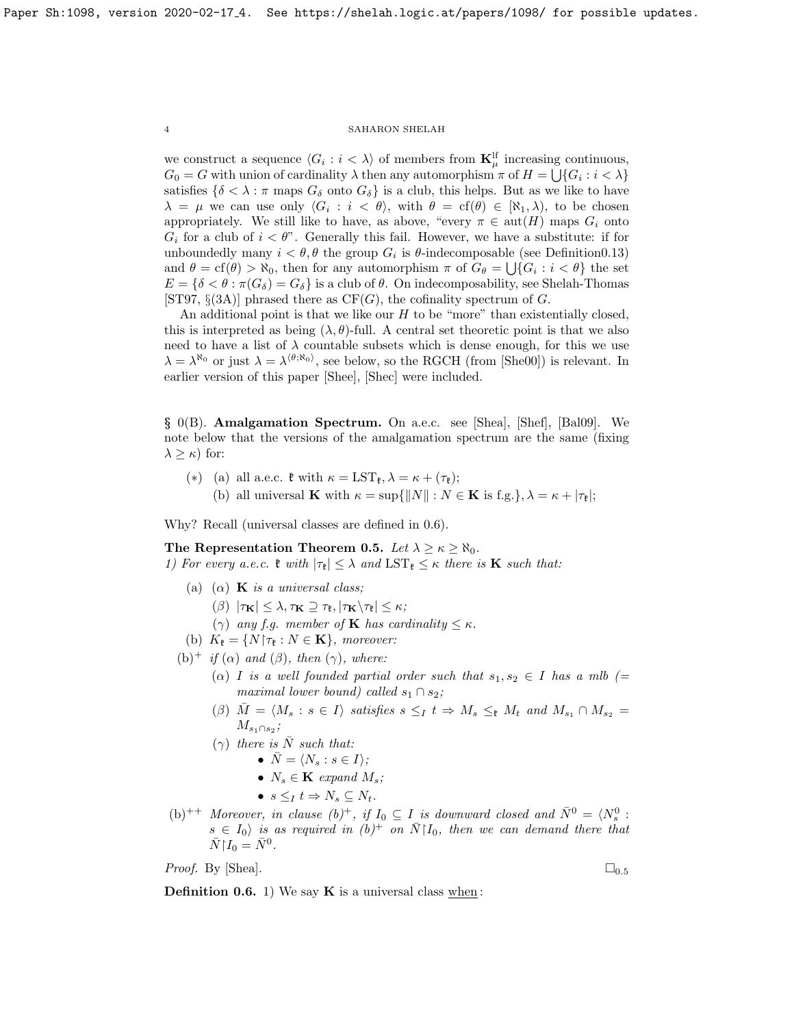we construct a sequence  $\langle G_i : i \rangle \rangle$  of members from  $\mathbf{K}_{\mu}^{\text{lf}}$  increasing continuous,  $G_0 = G$  with union of cardinality  $\lambda$  then any automorphism  $\pi$  of  $H = \bigcup \{G_i : i < \lambda\}$ satisfies  $\{\delta < \lambda : \pi$  maps  $G_{\delta}$  onto  $G_{\delta}\}$  is a club, this helps. But as we like to have  $\lambda = \mu$  we can use only  $\langle G_i : i \langle \theta \rangle$ , with  $\theta = \text{cf}(\theta) \in [\aleph_1, \lambda)$ , to be chosen appropriately. We still like to have, as above, "every  $\pi \in \text{aut}(H)$  maps  $G_i$  onto  $G_i$  for a club of  $i < \theta$ ". Generally this fail. However, we have a substitute: if for unboundedly many  $i < \theta$ ,  $\theta$  the group  $G_i$  is  $\theta$ -indecomposable (see Definition 0.13) and  $\theta = cf(\theta) > \aleph_0$ , then for any automorphism  $\pi$  of  $G_{\theta} = \bigcup \{G_i : i < \theta\}$  the set  $E = \{\delta < \theta : \pi(G_{\delta}) = G_{\delta}\}\$ is a club of  $\theta$ . On indecomposability, see Shelah-Thomas [\[ST97,](#page-26-8)  $\S(3A)$ ] phrased there as  $CF(G)$ , the cofinality spectrum of G.

An additional point is that we like our  $H$  to be "more" than existentially closed, this is interpreted as being  $(\lambda, \theta)$ -full. A central set theoretic point is that we also need to have a list of  $\lambda$  countable subsets which is dense enough, for this we use  $\lambda = \lambda^{\aleph_0}$  or just  $\lambda = \lambda^{\langle \theta, \aleph_0 \rangle}$ , see below, so the RGCH (from [\[She00\]](#page-26-9)) is relevant. In earlier version of this paper [\[Shee\]](#page-26-3), [\[Shec\]](#page-26-1) were included.

§ 0(B). Amalgamation Spectrum. On a.e.c. see [\[Shea\]](#page-26-10), [\[Shef\]](#page-26-11), [\[Bal09\]](#page-26-12). We note below that the versions of the amalgamation spectrum are the same (fixing  $\lambda \geq \kappa$ ) for:

- (\*) (a) all a.e.c.  $\mathfrak{k}$  with  $\kappa = \text{LST}_{\mathfrak{k}}, \lambda = \kappa + (\tau_{\mathfrak{k}});$ 
	- (b) all universal **K** with  $\kappa = \sup\{\|N\| : N \in \mathbf{K} \text{ is f.g.}\}, \lambda = \kappa + |\tau_{\ell}|;$

Why? Recall (universal classes are defined in [0.6\)](#page-3-0).

<span id="page-3-1"></span>The Representation Theorem 0.5. Let  $\lambda \geq \kappa \geq \aleph_0$ . 1) For every a.e.c.  $\mathfrak{k}$  with  $|\tau_{\mathfrak{k}}| \leq \lambda$  and  $\text{LST}_{\mathfrak{k}} \leq \kappa$  there is **K** such that:

- (a) ( $\alpha$ ) **K** is a universal class;
	- (β)  $|\tau_{\mathbf{K}}| \leq \lambda, \tau_{\mathbf{K}} \supseteq \tau_{\mathbf{t}}, |\tau_{\mathbf{K}} \setminus \tau_{\mathbf{t}}| \leq \kappa;$
	- ( $\gamma$ ) any f.g. member of **K** has cardinality  $\leq \kappa$ .
- (b)  $K_{\mathfrak{k}} = \{N | \tau_{\mathfrak{k}} : N \in \mathbf{K}\}\$ , moreover:
- (b)<sup>+</sup> if ( $\alpha$ ) and ( $\beta$ ), then ( $\gamma$ ), where:
	- ( $\alpha$ ) I is a well founded partial order such that  $s_1, s_2 \in I$  has a mlb (= maximal lower bound) called  $s_1 \cap s_2$ ;
	- $(\beta)$   $\overline{M} = \langle M_s : s \in I \rangle$  satisfies  $s \leq_I t \Rightarrow M_s \leq_t M_t$  and  $M_{s_1} \cap M_{s_2} =$  $M_{s_1\cap s_2}$ ;
	- $(\gamma)$  there is  $\overline{N}$  such that:

• 
$$
\bar{N} = \langle N_s : s \in I \rangle
$$
;

- $N_s \in \mathbf{K}$  expand  $M_s$ ;
- $s \leq_I t \Rightarrow N_s \subseteq N_t$ .
- (b)<sup>++</sup> Moreover, in clause (b)<sup>+</sup>, if  $I_0 \subseteq I$  is downward closed and  $\bar{N}^0 = \langle N_s^0 : I_0 \rangle$  $s \in I_0$  is as required in  $(b)^+$  on  $\bar{N} \mid I_0$ , then we can demand there that  $\bar{N}\upharpoonright I_0 = \bar{N}^0.$

*Proof.* By [\[Shea\]](#page-26-10).  $\Box_{0.5}$  $\Box_{0.5}$  $\Box_{0.5}$ 

<span id="page-3-0"></span>**Definition 0.6.** 1) We say  $\bf{K}$  is a universal class when: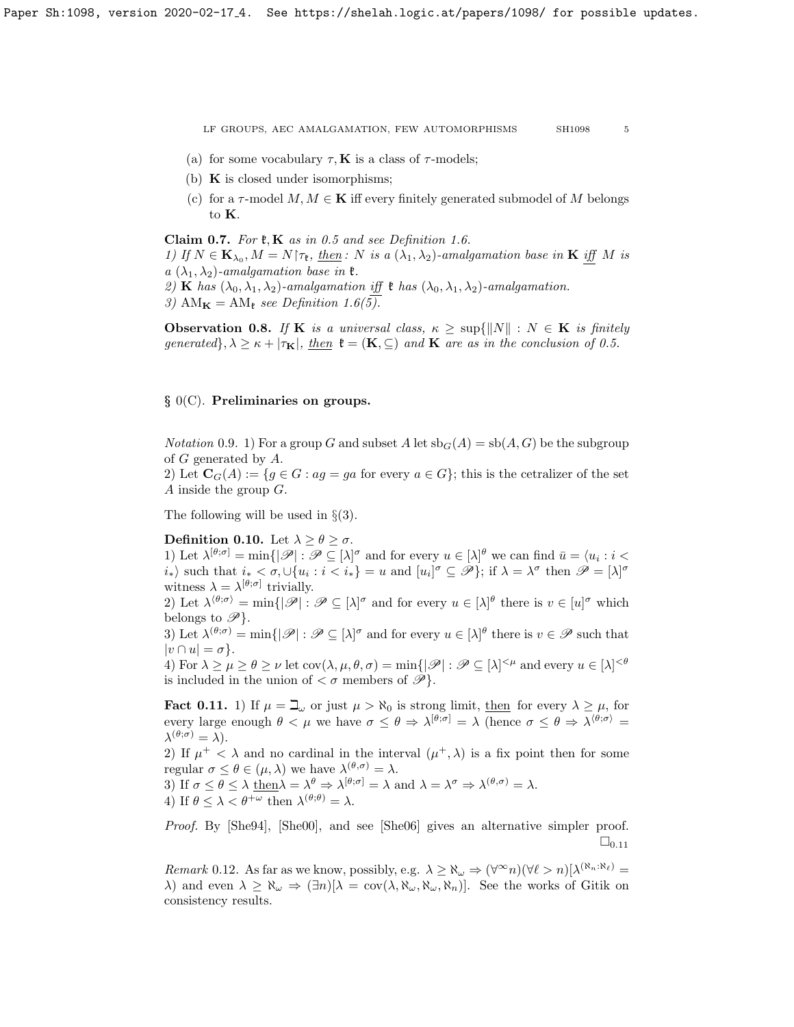- (a) for some vocabulary  $\tau$ , **K** is a class of  $\tau$ -models;
- (b)  $\bf{K}$  is closed under isomorphisms;
- (c) for a  $\tau$ -model  $M, M \in \mathbf{K}$  iff every finitely generated submodel of M belongs to K.

<span id="page-4-0"></span>Claim 0.7. For  $\mathfrak{k}, \mathbf{K}$  as in [0.5](#page-3-1) and see Definition [1.6.](#page-8-0)

1) If  $N \in \mathbf{K}_{\lambda_0}, M = N \uparrow \tau_{\mathfrak{k}}, \underline{then} : N \underline{\infty} \{ \lambda_1, \lambda_2 \}$ -amalgamation base in **K** iff M is  $a(\lambda_1, \lambda_2)$ -amalgamation base in  $\mathfrak{k}$ .

2) **K** has  $(\lambda_0, \lambda_1, \lambda_2)$ -amalgamation if  $\mathfrak{k}$  has  $(\lambda_0, \lambda_1, \lambda_2)$ -amalgamation.

3) AM $_{\mathbf{K}} = AM_{\mathfrak{k}}$  see Definition [1.6\(](#page-8-0)5).

**Observation 0.8.** If **K** is a universal class,  $\kappa \geq \sup\{||N|| : N \in \mathbf{K} \text{ is finitely }$ generated},  $\lambda \geq \kappa + |\tau_{\mathbf{K}}|$ , then  $\mathfrak{k} = (\mathbf{K}, \subseteq)$  and  $\mathbf{K}$  are as in the conclusion of [0.5.](#page-3-1)

## § 0(C). Preliminaries on groups.

*Notation* 0.9. 1) For a group G and subset A let  $\text{sb}_G(A) = \text{sb}(A, G)$  be the subgroup of G generated by A.

2) Let  $\mathbf{C}_G(A) := \{ g \in G : a g = ga \text{ for every } a \in G \}$ ; this is the cetralizer of the set A inside the group G.

The following will be used in  $\S(3)$ .

### <span id="page-4-2"></span>Definition 0.10. Let  $\lambda \geq \theta \geq \sigma$ .

1) Let  $\lambda^{[\theta,\sigma]} = \min\{|\mathscr{P}| : \mathscr{P} \subseteq [\lambda]^\sigma \text{ and for every } u \in [\lambda]^\theta \text{ we can find } \bar{u} = \langle u_i : i \leq \delta \rangle\}$  $i_*\rangle$  such that  $i_* < \sigma, \cup \{u_i : i < i_*\} = u$  and  $[u_i]^\sigma \subseteq \mathscr{P}\}$ ; if  $\lambda = \lambda^\sigma$  then  $\mathscr{P} = [\lambda]^\sigma$ witness  $\lambda = \lambda^{[\theta,\sigma]}$  trivially.

2) Let  $\lambda^{\langle \theta,\sigma\rangle} = \min\{|\mathscr{P}| : \mathscr{P} \subseteq [\lambda]^\sigma \text{ and for every } u \in [\lambda]^\theta \text{ there is } v \in [u]^\sigma \text{ which }$ belongs to  $\mathscr{P}$ .

3) Let  $\lambda^{(\theta,\sigma)} = \min\{|\mathscr{P}| : \mathscr{P} \subseteq [\lambda]^\sigma \text{ and for every } u \in [\lambda]^\theta \text{ there is } v \in \mathscr{P} \text{ such that }$  $|v \cap u| = \sigma$ .

4) For  $\lambda \ge \mu \ge \theta \ge \nu$  let  $\text{cov}(\lambda, \mu, \theta, \sigma) = \min\{|\mathscr{P}| : \mathscr{P} \subseteq [\lambda]^{<\mu} \text{ and every } u \in [\lambda]^{<\theta}$ is included in the union of  $\langle \sigma \rangle$  members of  $\mathscr{P}$ .

<span id="page-4-1"></span>**Fact 0.11.** 1) If  $\mu = \mathbb{Z}_{\omega}$  or just  $\mu > \aleph_0$  is strong limit, then for every  $\lambda \geq \mu$ , for every large enough  $\theta < \mu$  we have  $\sigma \leq \theta \Rightarrow \lambda^{[\theta,\sigma]} = \lambda$  (hence  $\sigma \leq \theta \Rightarrow \lambda^{\langle \theta,\sigma \rangle} =$  $\lambda^{(\theta;\sigma)}=\lambda$ ).

2) If  $\mu^+ < \lambda$  and no cardinal in the interval  $(\mu^+, \lambda)$  is a fix point then for some regular  $\sigma \leq \theta \in (\mu, \lambda)$  we have  $\lambda^{(\theta, \sigma)} = \lambda$ .

3) If  $\sigma \leq \theta \leq \lambda \underline{\text{ then }} \lambda = \lambda^{\theta} \Rightarrow \lambda^{[\theta,\sigma]} = \lambda \text{ and } \lambda = \lambda^{\sigma} \Rightarrow \lambda^{(\theta,\sigma)} = \lambda.$ 4) If  $\theta \leq \lambda < \theta^{+\omega}$  then  $\lambda^{(\theta,\theta)} = \lambda$ .

Proof. By [\[She94\]](#page-26-13), [\[She00\]](#page-26-9), and see [\[She06\]](#page-26-14) gives an alternative simpler proof.  $\square_{0.11}$  $\square_{0.11}$  $\square_{0.11}$ 

Remark 0.12. As far as we know, possibly, e.g.  $\lambda \ge \aleph_\omega \Rightarrow (\forall^\infty n)(\forall \ell > n)[\lambda^{(\aleph_n:\aleph_\ell)} =$  $\lambda$ ) and even  $\lambda \geq \aleph_{\omega} \Rightarrow (\exists n)[\lambda = \text{cov}(\lambda, \aleph_{\omega}, \aleph_{\omega}, \aleph_n)]$ . See the works of Gitik on consistency results.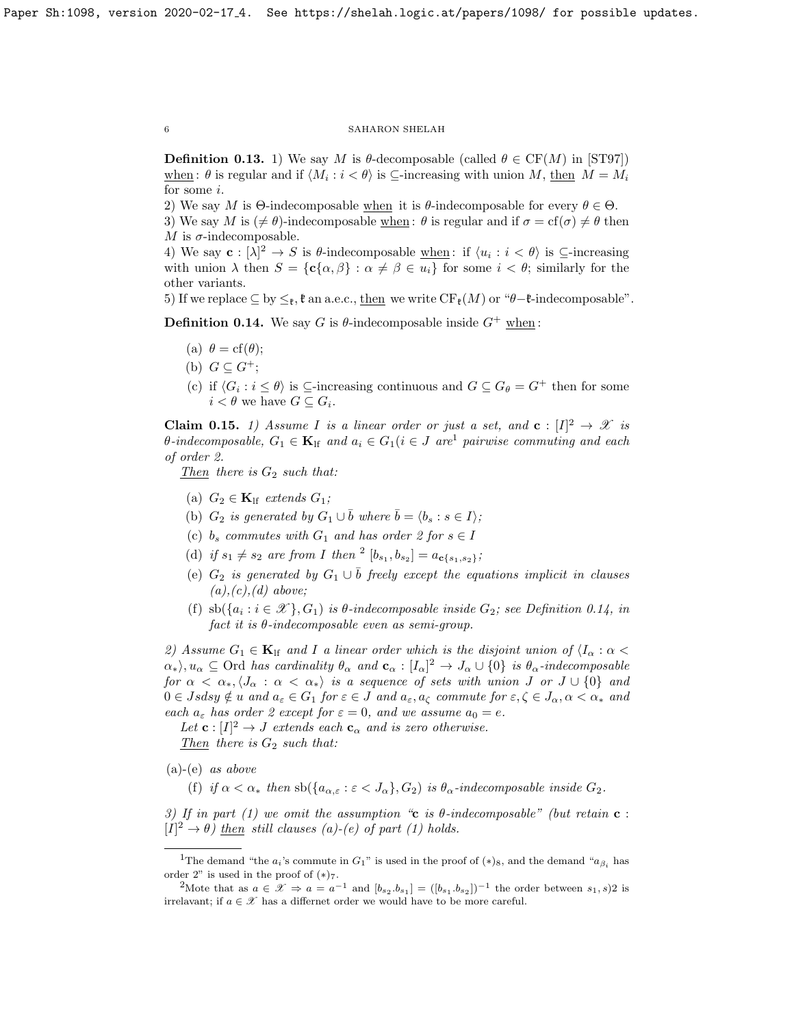<span id="page-5-0"></span>**Definition 0.13.** 1) We say M is  $\theta$ -decomposable (called  $\theta \in CF(M)$  in [\[ST97\]](#page-26-8)) when:  $\theta$  is regular and if  $\langle M_i : i < \theta \rangle$  is ⊆-increasing with union M, then  $M = M_i$ for some i.

2) We say M is  $\Theta$ -indecomposable when it is  $\theta$ -indecomposable for every  $\theta \in \Theta$ .

3) We say M is  $(\neq \theta)$ -indecomposable when :  $\theta$  is regular and if  $\sigma = \text{cf}(\sigma) \neq \theta$  then M is  $\sigma$ -indecomposable.

4) We say  $\mathbf{c}: [\lambda]^2 \to S$  is  $\theta$ -indecomposable  $\underline{\text{when}}$ : if  $\langle u_i : i < \theta \rangle$  is  $\subseteq$ -increasing with union  $\lambda$  then  $S = {\bf c} {\alpha, \beta} : \alpha \neq \beta \in u_i$  for some  $i < \theta$ ; similarly for the other variants.

5) If we replace  $\subseteq$  by  $\leq_{\mathfrak{k}}$ ,  $\mathfrak{k}$  an a.e.c., then we write  $CF_{\mathfrak{k}}(M)$  or " $\theta-\mathfrak{k}$ -indecomposable".

<span id="page-5-3"></span>**Definition 0.14.** We say G is  $\theta$ -indecomposable inside  $G^+$  when:

- (a)  $\theta = cf(\theta);$
- (b)  $G \subseteq G^+$ ;
- (c) if  $\langle G_i : i \leq \theta \rangle$  is  $\subseteq$ -increasing continuous and  $G \subseteq G_{\theta} = G^+$  then for some  $i < \theta$  we have  $G \subseteq G_i$ .

<span id="page-5-4"></span>**Claim 0.15.** 1) Assume I is a linear order or just a set, and  $\mathbf{c} : [I]^2 \to \mathcal{X}$  is  $\theta$ -indecomposable,  $G_1 \in \mathbf{K}_{\text{lf}}$  $G_1 \in \mathbf{K}_{\text{lf}}$  $G_1 \in \mathbf{K}_{\text{lf}}$  and  $a_i \in G_1 (i \in J \text{ are}^1 \text{ pairwise commuting and each})$ of order 2.

Then there is  $G_2$  such that:

- (a)  $G_2 \in \mathbf{K}_{\text{lf}}$  extends  $G_1$ ;
- (b)  $G_2$  is generated by  $G_1 \cup \overline{b}$  where  $\overline{b} = \langle b_s : s \in I \rangle$ ;
- (c)  $b_s$  commutes with  $G_1$  and has order 2 for  $s \in I$
- (d) if  $s_1 \neq s_2$  $s_1 \neq s_2$  are from I then  $^2$   $[b_{s_1}, b_{s_2}] = a_{c\{s_1, s_2\}};$
- (e)  $G_2$  is generated by  $G_1 \cup \overline{b}$  freely except the equations implicit in clauses  $(a), (c), (d)$  above;
- (f)  $\text{sb}(\{a_i : i \in \mathcal{X}\}, G_1)$  is  $\theta$ -indecomposable inside  $G_2$ ; see Definition [0.14,](#page-5-3) in fact it is  $\theta$ -indecomposable even as semi-group.

2) Assume  $G_1 \in \mathbf{K}_{\text{lf}}$  and I a linear order which is the disjoint union of  $\langle I_\alpha : \alpha \rangle$  $\{\alpha_*\}, u_\alpha \subseteq \text{Ord}$  has cardinality  $\theta_\alpha$  and  $\mathbf{c}_\alpha : [I_\alpha]^2 \to J_\alpha \cup \{0\}$  is  $\theta_\alpha$ -indecomposable for  $\alpha < \alpha_*, \langle J_\alpha : \alpha < \alpha_* \rangle$  is a sequence of sets with union J or  $J \cup \{0\}$  and  $0 \in Jsdsy \notin u$  and  $a_{\varepsilon} \in G_1$  for  $\varepsilon \in J$  and  $a_{\varepsilon}, a_{\zeta}$  commute for  $\varepsilon, \zeta \in J_{\alpha}, \alpha < \alpha_*$  and each  $a_{\varepsilon}$  has order 2 except for  $\varepsilon = 0$ , and we assume  $a_0 = e$ .

Let  $\mathbf{c}: [I]^2 \to J$  extends each  $\mathbf{c}_{\alpha}$  and is zero otherwise. Then there is  $G_2$  such that:

 $(a)-(e)$  *as above* 

(f) if  $\alpha < \alpha_*$  then  $\operatorname{sb}(\{a_{\alpha,\varepsilon} : \varepsilon < J_\alpha\}, G_2)$  is  $\theta_\alpha$ -indecomposable inside  $G_2$ .

3) If in part (1) we omit the assumption "c is  $\theta$ -indecomposable" (but retain c :  $[I]^2 \to \theta$ ) then still clauses (a)-(e) of part (1) holds.

<span id="page-5-1"></span><sup>&</sup>lt;sup>1</sup>The demand "the  $a_i$ 's commute in  $G_1$ " is used in the proof of  $(*)_8$ , and the demand " $a_{\beta_i}$  has order 2" is used in the proof of  $(*)_7$ .

<span id="page-5-2"></span><sup>2</sup>Mote that as  $a \in \mathcal{X} \Rightarrow a = a^{-1}$  and  $[b_{s_2}.b_{s_1}] = ([b_{s_1}.b_{s_2}])^{-1}$  the order between  $s_1, s_2$  is irrelavant; if  $a \in \mathcal{X}$  has a differnet order we would have to be more careful.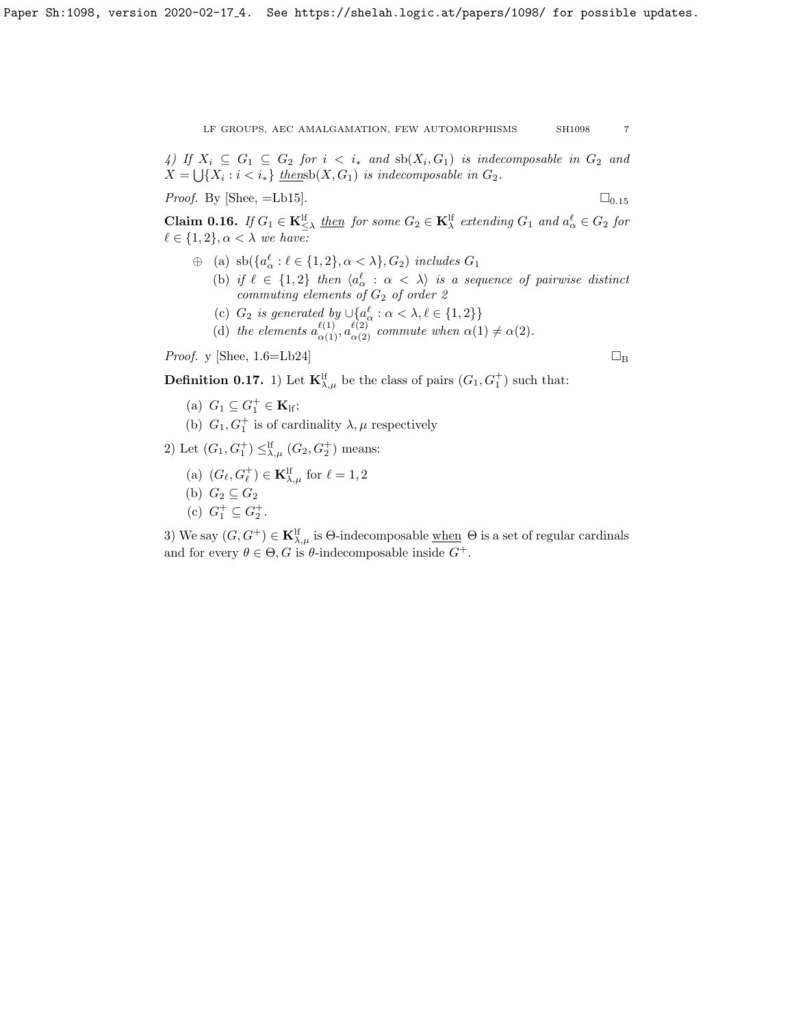4) If  $X_i \subseteq G_1 \subseteq G_2$  for  $i \leq i_*$  and  $\operatorname{sb}(X_i,G_1)$  is indecomposable in  $G_2$  and  $X = \bigcup \{X_i : i < i_*\}$  thensb $(X, G_1)$  is indecomposable in  $G_2$ .

*Proof.* By [\[Shee,](#page-26-3)  $=$ Lb[15](#page-5-4)].  $\Box$ 

<span id="page-6-0"></span>**Claim 0.16.** If  $G_1 \in \mathbf{K}_{\leq \lambda}^{\text{lf}}$  then for some  $G_2 \in \mathbf{K}_{\lambda}^{\text{lf}}$  extending  $G_1$  and  $a_{\alpha}^{\ell} \in G_2$  for  $\ell \in \{1, 2\}, \alpha < \lambda$  we have:

- $\oplus$  (a)  $\operatorname{sb}(\{a^\ell_\alpha : \ell \in \{1,2\}, \alpha < \lambda\}, G_2)$  includes  $G_1$ 
	- (b) if  $\ell \in \{1,2\}$  then  $\langle a_\alpha^{\ell} : \alpha < \lambda \rangle$  is a sequence of pairwise distinct  $commuting\ elements\ of\ G_2\ of\ order\ {\mathcal Z}$
	- (c)  $G_2$  is generated by  $\cup \{a_\alpha^{\ell} : \alpha < \lambda, \ell \in \{1, 2\}\}\$
	- (d) the elements  $a_{\alpha(1)}^{\ell(1)}, a_{\alpha(2)}^{\ell(2)}$  commute when  $\alpha(1) \neq \alpha(2)$ .

*Proof.* y [\[Shee,](#page-26-3) 1.6=Lb24]  $\Box_B$ 

**Definition 0.17.** 1) Let  $\mathbf{K}_{\lambda,\mu}^{\text{lf}}$  be the class of pairs  $(G_1, G_1^+)$  such that:

- (a)  $G_1 \subseteq G_1^+ \in \mathbf{K}_{\text{lf}};$
- (b)  $G_1, G_1^+$  is of cardinality  $\lambda, \mu$  respectively
- 2) Let  $(G_1, G_1^+) \leq^{\text{lf}}_{\lambda,\mu} (G_2, G_2^+)$  means:
	- (a)  $(G_{\ell}, G_{\ell}^+) \in \mathbf{K}_{\lambda,\mu}^{\mathrm{lf}}$  for  $\ell = 1, 2$
	- (b)  $G_2 \subseteq G_2$
	- (c)  $G_1^+ \subseteq G_2^+$ .

3) We say  $(G, G^+) \in \mathbf{K}^{\text{lf}}_{\lambda,\mu}$  is  $\Theta$ -indecomposable when  $\Theta$  is a set of regular cardinals and for every  $\theta \in \Theta$ , G is  $\theta$ -indecomposable inside  $G^+$ .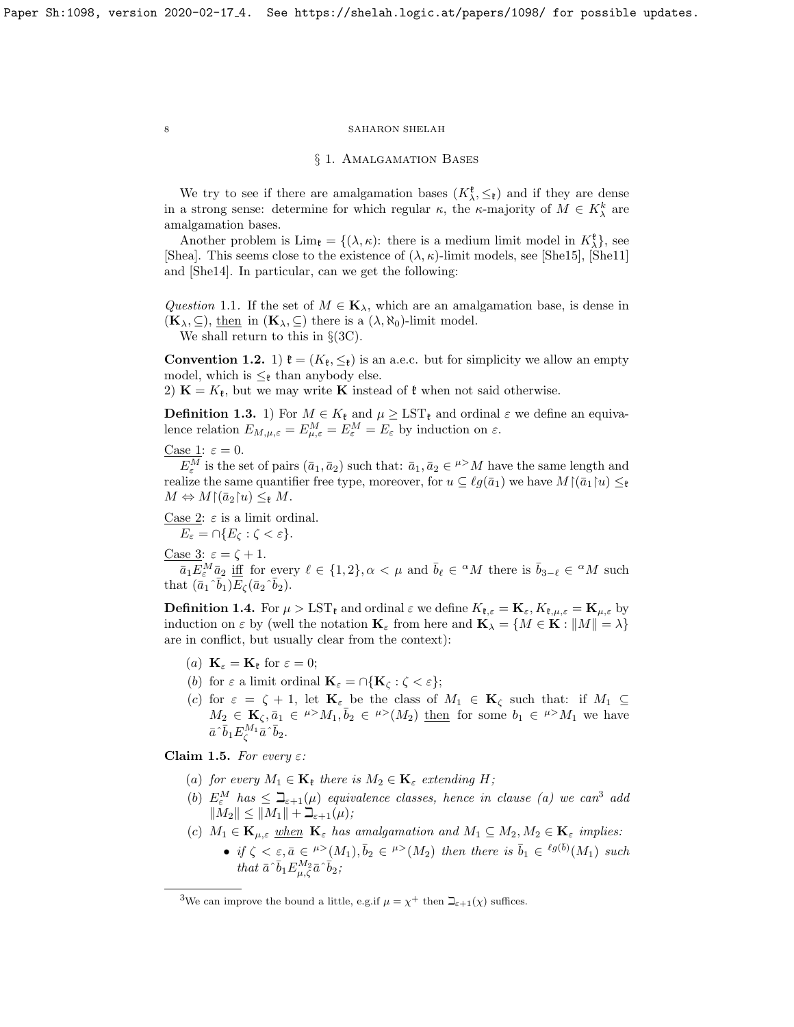### § 1. Amalgamation Bases

We try to see if there are amalgamation bases  $(K^{\mathfrak{k}}_{\lambda}, \leq_{\mathfrak{k}})$  and if they are dense in a strong sense: determine for which regular  $\kappa$ , the  $\kappa$ -majority of  $M \in K_\lambda^k$  are amalgamation bases.

Another problem is  $\lim_{\mathfrak{k}} = \{(\lambda, \kappa): \text{ there is a medium limit model in } K_{\lambda}^{\mathfrak{k}}\},\$ [\[Shea\]](#page-26-10). This seems close to the existence of  $(\lambda, \kappa)$ -limit models, see [\[She15\]](#page-26-15), [\[She11\]](#page-26-16) and [\[She14\]](#page-26-17). In particular, can we get the following:

Question 1.1. If the set of  $M \in \mathbf{K}_{\lambda}$ , which are an amalgamation base, is dense in  $(\mathbf{K}_{\lambda}, \subseteq)$ , then in  $(\mathbf{K}_{\lambda}, \subseteq)$  there is a  $(\lambda, \aleph_0)$ -limit model.

We shall return to this in  $\S(3C)$ .

**Convention 1.2.** 1)  $\mathfrak{k} = (K_{\mathfrak{k}}, \leq_{\mathfrak{k}})$  is an a.e.c. but for simplicity we allow an empty model, which is  $\leq_{\ell}$  than anybody else.

2)  $\mathbf{K} = K_{\mathfrak{k}}$ , but we may write **K** instead of  $\mathfrak{k}$  when not said otherwise.

**Definition 1.3.** 1) For  $M \in K_{\mathfrak{k}}$  and  $\mu \geq \text{LST}_{\mathfrak{k}}$  and ordinal  $\varepsilon$  we define an equivalence relation  $E_{M,\mu,\varepsilon} = E_{\mu,\varepsilon}^M = E_{\varepsilon}^M = E_{\varepsilon}$  by induction on  $\varepsilon$ .

Case 1: 
$$
\varepsilon = 0
$$
.

 $E_{\varepsilon}^M$  is the set of pairs  $(\bar{a}_1, \bar{a}_2)$  such that:  $\bar{a}_1, \bar{a}_2 \in \mu > M$  have the same length and realize the same quantifier free type, moreover, for  $u \subseteq \ell g(\bar{a}_1)$  we have  $M(\bar{a}_1|u) \leq \ell$  $M \Leftrightarrow M{\upharpoonright}(\bar{a}_2\upharpoonright u) \leq_{\mathfrak{k}} M.$ 

Case 2:  $\varepsilon$  is a limit ordinal.

 $E_{\varepsilon} = \bigcap \{E_{\zeta} : \zeta < \varepsilon\}.$ 

$$
\underline{\text{Case 3}}: \varepsilon = \zeta + 1.
$$

 $\overline{a_1E}^M_{\varepsilon} \overline{a_2}$  iff for every  $\ell \in \{1,2\}$ ,  $\alpha < \mu$  and  $\overline{b}_{\ell} \in {}^{\alpha}M$  there is  $\overline{b}_{3-\ell} \in {}^{\alpha}M$  such that  $(\bar{a}_1 \hat{b}_1) \overline{E}_{\zeta} (\bar{a}_2 \hat{b}_2)$ .

<span id="page-7-3"></span>**Definition 1.4.** For  $\mu > \text{LST}_{\mathfrak{k}}$  and ordinal  $\varepsilon$  we define  $K_{\mathfrak{k},\varepsilon} = \mathbf{K}_{\varepsilon}, K_{\mathfrak{k},\mu,\varepsilon} = \mathbf{K}_{\mu,\varepsilon}$  by induction on  $\varepsilon$  by (well the notation  $\mathbf{K}_{\varepsilon}$  from here and  $\mathbf{K}_{\lambda} = \{M \in \mathbf{K} : ||M|| = \lambda\}$ are in conflict, but usually clear from the context):

- (a)  $\mathbf{K}_{\varepsilon} = \mathbf{K}_{\mathfrak{k}}$  for  $\varepsilon = 0$ ;
- (b) for  $\varepsilon$  a limit ordinal  $\mathbf{K}_{\varepsilon} = \bigcap \{ \mathbf{K}_{\zeta} : \zeta < \varepsilon \};$
- (c) for  $\varepsilon = \zeta + 1$ , let  $\mathbf{K}_{\varepsilon}$  be the class of  $M_1 \in \mathbf{K}_{\zeta}$  such that: if  $M_1 \subseteq$  $M_2 \in \mathbf{K}_\zeta, \bar{a}_1 \in {}^{\mu >}M_1, \bar{b}_2 \in {}^{\mu >}(M_2)$  then for some  $b_1 \in {}^{\mu >}M_1$  we have  $\bar{a}^{\hat{}}\bar{b}_1E_{\zeta}^{M_1}\bar{a}^{\hat{}}\bar{b}_2.$

<span id="page-7-2"></span>Claim 1.5. For every  $\varepsilon$ :

- (a) for every  $M_1 \in \mathbf{K}_{\epsilon}$  there is  $M_2 \in \mathbf{K}_{\epsilon}$  extending H;
- (b)  $E_{\varepsilon}^{M}$  has  $\leq \beth_{\varepsilon+1}(\mu)$  equivalence classes, hence in clause (a) we can<sup>[3](#page-7-1)</sup> add  $||M_2|| \leq ||M_1|| + \beth_{\varepsilon+1}(\mu);$
- (c)  $M_1 \in \mathbf{K}_{\mu,\varepsilon}$  when  $\mathbf{K}_{\varepsilon}$  has amalgamation and  $M_1 \subseteq M_2, M_2 \in \mathbf{K}_{\varepsilon}$  implies:
	- if  $\zeta < \varepsilon, \bar{a} \in {}^{\mu >}(M_1), \bar{b}_2 \in {}^{\mu >}(M_2)$  then there is  $\bar{b}_1 \in {}^{\ell g(\bar{b})}(M_1)$  such that  $\bar{a}^{\dagger} \bar{b}_1 E_{\mu,\zeta}^{M_2} \bar{a}^{\dagger} \bar{b}_2;$

<span id="page-7-0"></span>

<span id="page-7-1"></span><sup>&</sup>lt;sup>3</sup>We can improve the bound a little, e.g.if  $\mu = \chi^+$  then  $\mathbb{D}_{\varepsilon+1}(\chi)$  suffices.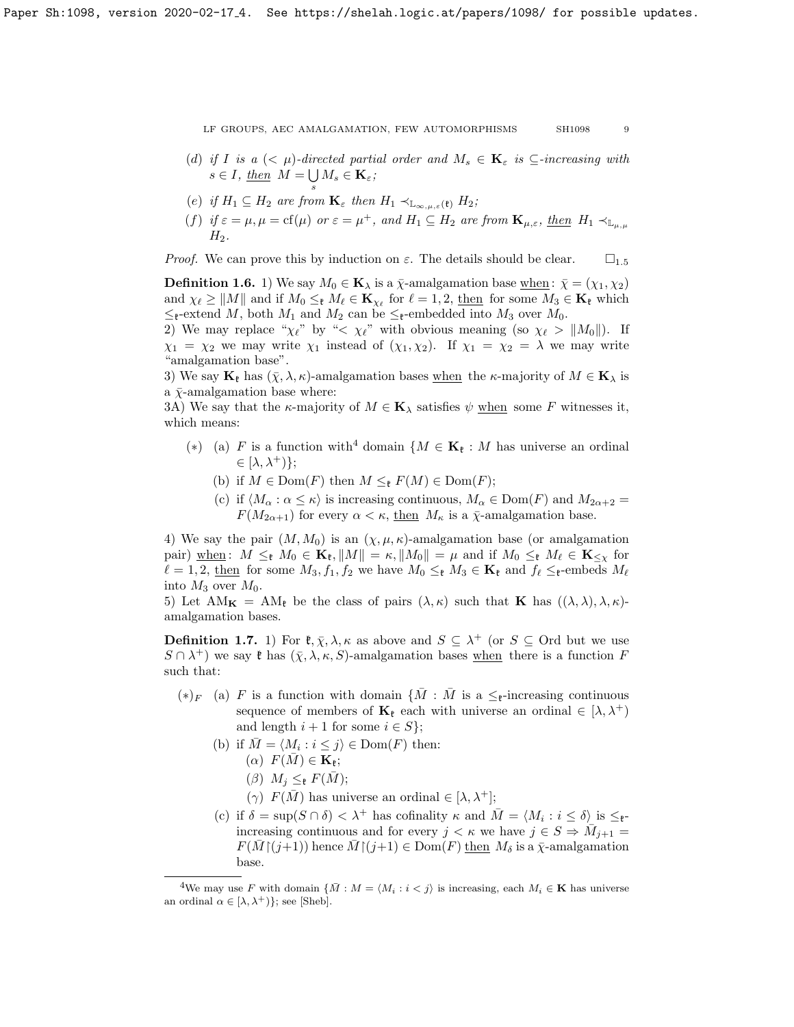- 
- (d) if I is a  $( $\mu$ )-directed partial order and  $M_s \in \mathbf{K}_{\varepsilon}$  is  $\subseteq$ -increasing with$  $s \in I$ , then  $M = \bigcup M_s \in \mathbf{K}_{\varepsilon}$ ; s
- (e) if  $H_1 \subseteq H_2$  are from  $\mathbf{K}_{\varepsilon}$  then  $H_1 \prec_{\mathbb{L}_{\infty,\mu,\varepsilon}(\mathfrak{k})} H_2$ ;
- (f) if  $\varepsilon = \mu, \mu = \text{cf}(\mu)$  or  $\varepsilon = \mu^+$ , and  $H_1 \subseteq H_2$  are from  $\mathbf{K}_{\mu,\varepsilon}$ , then  $H_1 \prec_{\mathbb{L}_{\mu,\mu}}$  $H_2$ .

*Proof.* We can prove this by induction on  $\varepsilon$ . The details should be clear.  $\square_{1.5}$  $\square_{1.5}$  $\square_{1.5}$ 

<span id="page-8-0"></span>**Definition 1.6.** 1) We say  $M_0 \in \mathbf{K}_{\lambda}$  is a  $\bar{\chi}$ -amalgamation base when :  $\bar{\chi} = (\chi_1, \chi_2)$ and  $\chi_{\ell} \geq ||M||$  and if  $M_0 \leq_{\ell} M_{\ell} \in \mathbf{K}_{\chi_{\ell}}$  for  $\ell = 1, 2$ , then for some  $M_3 \in \mathbf{K}_{\ell}$  which  $≤$ <sub>t</sub>-extend M, both M<sub>1</sub> and M<sub>2</sub> can be  $≤$ <sub>t</sub>-embedded into M<sub>3</sub> over M<sub>0</sub>.

2) We may replace " $\chi_{\ell}$ " by " $\lt \chi_{\ell}$ " with obvious meaning (so  $\chi_{\ell} > ||M_0||$ ). If  $\chi_1 = \chi_2$  we may write  $\chi_1$  instead of  $(\chi_1, \chi_2)$ . If  $\chi_1 = \chi_2 = \lambda$  we may write "amalgamation base".

3) We say  $\mathbf{K}_{\ell}$  has  $(\bar{\chi}, \lambda, \kappa)$ -amalgamation bases when the  $\kappa$ -majority of  $M \in \mathbf{K}_{\lambda}$  is a  $\bar{\chi}$ -amalgamation base where:

3A) We say that the  $\kappa$ -majority of  $M \in \mathbf{K}_{\lambda}$  satisfies  $\psi$  when some F witnesses it, which means:

- (\*) (a) F is a function with<sup>[4](#page-8-1)</sup> domain { $M \in \mathbf{K}_{\ell}: M$  has universe an ordinal  $\in$   $[\lambda, \lambda^+]$ ;
	- (b) if  $M \in \text{Dom}(F)$  then  $M \leq_{\mathfrak{k}} F(M) \in \text{Dom}(F)$ ;
	- (c) if  $\langle M_\alpha : \alpha \leq \kappa \rangle$  is increasing continuous,  $M_\alpha \in \text{Dom}(F)$  and  $M_{2\alpha+2} =$  $F(M_{2\alpha+1})$  for every  $\alpha < \kappa$ , then  $M_{\kappa}$  is a  $\bar{\chi}$ -amalgamation base.

4) We say the pair  $(M, M_0)$  is an  $(\chi, \mu, \kappa)$ -amalgamation base (or amalgamation pair) when :  $M \leq_{\mathfrak{k}} M_0 \in \mathbf{K}_{\mathfrak{k}}, ||M|| = \kappa, ||M_0|| = \mu$  and if  $M_0 \leq_{\mathfrak{k}} M_\ell \in \mathbf{K}_{\leq \chi}$  for  $\ell = 1, 2$ , then for some  $M_3, f_1, f_2$  we have  $M_0 \leq_{\ell} M_3 \in \mathbf{K}_{\ell}$  and  $f_{\ell} \leq_{\ell}$ -embeds  $M_{\ell}$ into  $M_3$  over  $M_0$ .

5) Let  $AM_K = AM_t$  be the class of pairs  $(\lambda, \kappa)$  such that **K** has  $((\lambda, \lambda), \lambda, \kappa)$ amalgamation bases.

**Definition 1.7.** 1) For  $\mathfrak{k}, \bar{\chi}, \lambda, \kappa$  as above and  $S \subseteq \lambda^+$  (or  $S \subseteq$  Ord but we use  $S \cap \lambda^+$  we say  $\mathfrak k$  has  $(\bar\chi, \lambda, \kappa, S)$ -amalgamation bases when there is a function F such that:

- $(*)_F$  (a) F is a function with domain  $\{M : M$  is a  $\leq_{\mathfrak{k}}$ -increasing continuous sequence of members of  $\mathbf{K}_{\ell}$  each with universe an ordinal  $\in [\lambda, \lambda^{+})$ and length  $i + 1$  for some  $i \in S$ ;
	- (b) if  $\overline{M} = \langle M_i : i \leq j \rangle \in \text{Dom}(F)$  then:  $(\alpha)$   $F(\overline{M}) \in \mathbf{K}_{\mathfrak{k}};$ 
		- $(\beta)$   $M_i \leq_{\mathfrak{k}} F(\bar{M});$
		- (γ)  $F(\overline{M})$  has universe an ordinal ∈ [λ, λ<sup>+</sup>];
	- (c) if  $\delta = \sup(S \cap \delta) < \lambda^+$  has cofinality  $\kappa$  and  $\overline{M} = \langle M_i : i \leq \delta \rangle$  is  $\leq_{\mathfrak{k}^-}$ increasing continuous and for every  $j < \kappa$  we have  $j \in S \Rightarrow \overline{M}_{j+1} =$  $F(M \mid (j+1))$  hence  $M \mid (j+1) \in \text{Dom}(F)$  then  $M_{\delta}$  is a  $\bar{\chi}$ -amalgamation base.

<span id="page-8-1"></span><sup>&</sup>lt;sup>4</sup>We may use F with domain  $\{\bar{M}: M = \langle M_i : i < j \rangle \}$  is increasing, each  $M_i \in \mathbf{K}$  has universe an ordinal  $\alpha \in [\lambda, \lambda^+]$ ; see [\[Sheb\]](#page-26-18).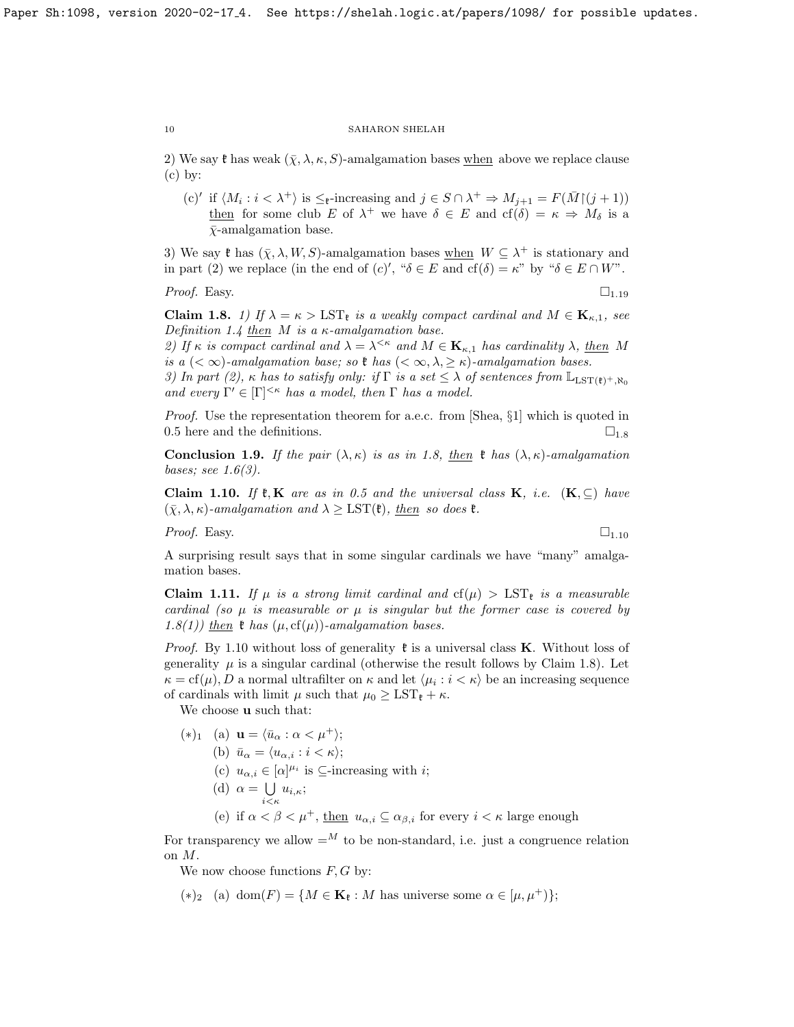2) We say  $\mathfrak k$  has weak  $(\bar \chi, \lambda, \kappa, S)$ -amalgamation bases when above we replace clause  $(c)$  by:

(c)' if  $\langle M_i : i < \lambda^+ \rangle$  is  $\leq_{\mathfrak{k}}$ -increasing and  $j \in S \cap \lambda^+ \Rightarrow M_{j+1} = F(\bar{M} \cap (j+1))$ then for some club E of  $\lambda^+$  we have  $\delta \in E$  and  $cf(\delta) = \kappa \Rightarrow M_\delta$  is a  $\bar{\chi}$ -amalgamation base.

3) We say  $\mathfrak k$  has  $(\bar\chi, \lambda, W, S)$ -amalgamation bases when  $W \subseteq \lambda^+$  is stationary and in part (2) we replace (in the end of  $(c)'$ , " $\delta \in E$  and  $cf(\delta) = \kappa$ " by " $\delta \in E \cap W$ ".

*Proof.* Easy.  $\Box$  1.[19](#page-12-0)

<span id="page-9-0"></span>**Claim 1.8.** 1) If  $\lambda = \kappa > \text{LST}_{k}$  is a weakly compact cardinal and  $M \in \mathbf{K}_{\kappa,1}$ , see Definition [1.4](#page-7-3) then  $M$  is a  $\kappa$ -amalgamation base.

2) If  $\kappa$  is compact cardinal and  $\lambda = \lambda^{<\kappa}$  and  $M \in \mathbf{K}_{\kappa,1}$  has cardinality  $\lambda$ , then M is a  $( $\infty$ )-amalgamation base; so  $\ell$  has  $(<\infty, \lambda, \geq \kappa)$ -amalgamation bases.$ 

3) In part (2), κ has to satisfy only: if  $\Gamma$  is a set  $\leq \lambda$  of sentences from  $\mathbb{L}_{\text{LST}(\mathfrak{k})^+,\aleph_0}$ and every  $\Gamma' \in [\Gamma]^{<\kappa}$  has a model, then  $\Gamma$  has a model.

Proof. Use the representation theorem for a.e.c. from [\[Shea,](#page-26-10) §1] which is quoted in [0.5](#page-3-1) here and the definitions.  $\square_{1.8}$  $\square_{1.8}$  $\square_{1.8}$ 

**Conclusion 1.9.** If the pair  $(\lambda, \kappa)$  is as in [1.8,](#page-9-0) then  $\mathfrak{k}$  has  $(\lambda, \kappa)$ -amalgamation bases; see  $1.6(3)$ .

<span id="page-9-1"></span>Claim 1.10. If  $\mathfrak{k}, K$  are as in [0.5](#page-3-1) and the universal class K, i.e.  $(K, \subseteq)$  have  $(\bar{\chi}, \lambda, \kappa)$ -amalgamation and  $\lambda \geq \text{LST}(\mathfrak{k})$ , then so does  $\mathfrak{k}$ .

*Proof.* Easy.  $\Box$ 

A surprising result says that in some singular cardinals we have "many" amalgamation bases.

<span id="page-9-2"></span>**Claim 1.11.** If  $\mu$  is a strong limit cardinal and  $cf(\mu) > LST_{\ell}$  is a measurable cardinal (so  $\mu$  is measurable or  $\mu$  is singular but the former case is covered by [1.8\(](#page-9-0)1)) then  $\mathfrak k$  has  $(\mu, \text{cf}(\mu))$ -amalgamation bases.

*Proof.* By [1.10](#page-9-1) without loss of generality  $\mathfrak{k}$  is a universal class **K**. Without loss of generality  $\mu$  is a singular cardinal (otherwise the result follows by Claim [1.8\)](#page-9-0). Let  $\kappa = \text{cf}(\mu)$ , D a normal ultrafilter on  $\kappa$  and let  $\langle \mu_i : i \langle \kappa \rangle$  be an increasing sequence of cardinals with limit  $\mu$  such that  $\mu_0 \geq \text{LST}_{\ell} + \kappa$ .

We choose **u** such that:

 $(*)_1$  (a)  $\mathbf{u} = \langle \bar{u}_\alpha : \alpha < \mu^+ \rangle;$ (b)  $\bar{u}_{\alpha} = \langle u_{\alpha,i} : i < \kappa \rangle;$ (c)  $u_{\alpha,i} \in [\alpha]^{\mu_i}$  is  $\subseteq$ -increasing with *i*; (d)  $\alpha = \bigcup$  $\bigcup_{i \leq \kappa} u_{i,\kappa};$ (e) if  $\alpha < \beta < \mu^+$ , then  $u_{\alpha,i} \subseteq \alpha_{\beta,i}$  for every  $i < \kappa$  large enough

For transparency we allow  $=$ <sup>M</sup> to be non-standard, i.e. just a congruence relation on M.

We now choose functions  $F, G$  by:

 $(*)_2$  (a) dom $(F) = \{M \in \mathbf{K}_{\ell}: M \text{ has universe some } \alpha \in [\mu, \mu^+] \};$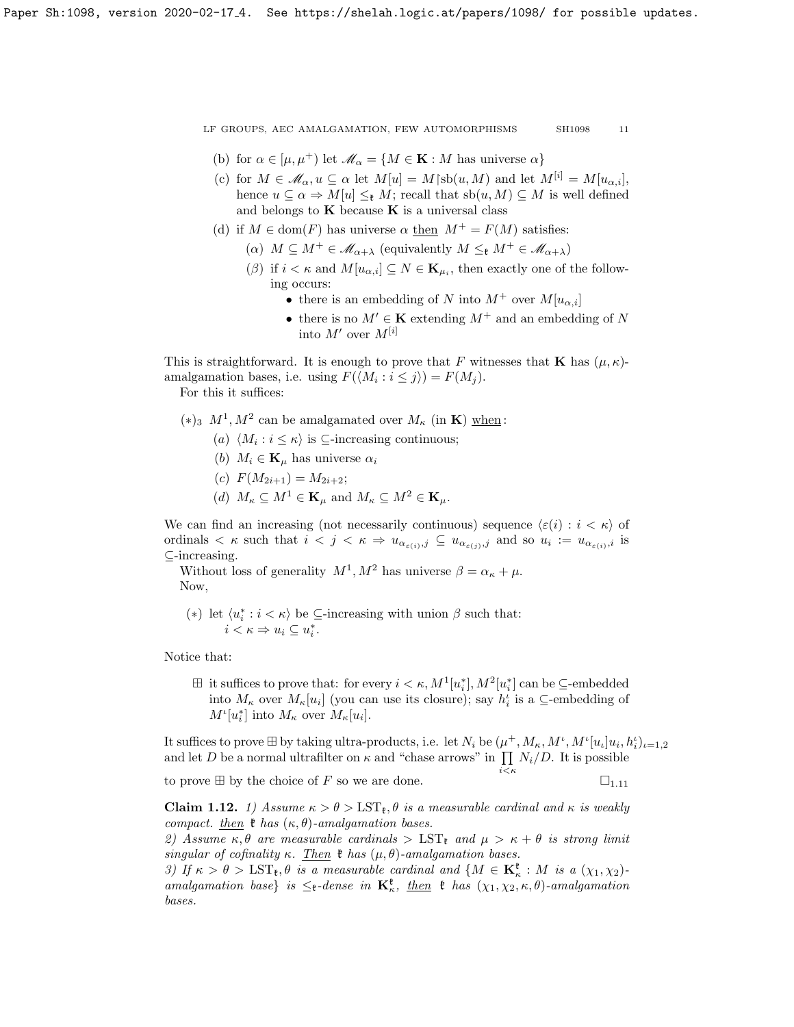- (b) for  $\alpha \in [\mu, \mu^+]$  let  $\mathscr{M}_{\alpha} = \{M \in \mathbf{K} : M \text{ has universe } \alpha\}$
- (c) for  $M \in \mathcal{M}_{\alpha}, u \subseteq \alpha$  let  $M[u] = M[\text{sb}(u, M)]$  and let  $M^{[i]} = M[u_{\alpha,i}],$ hence  $u \subseteq \alpha \Rightarrow M[u] \leq_t M$ ; recall that  $sb(u, M) \subseteq M$  is well defined and belongs to  $\bf{K}$  because  $\bf{K}$  is a universal class
- (d) if  $M \in \text{dom}(F)$  has universe  $\alpha$  then  $M^+ = F(M)$  satisfies:
	- ( $\alpha$ )  $M \subseteq M^+ \in \mathcal{M}_{\alpha+\lambda}$  (equivalently  $M \leq_{\mathfrak{k}} M^+ \in \mathcal{M}_{\alpha+\lambda}$ )
	- $(\beta)$  if  $i < \kappa$  and  $M[u_{\alpha,i}] \subseteq N \in \mathbf{K}_{\mu_i}$ , then exactly one of the following occurs:
		- there is an embedding of N into  $M^+$  over  $M[u_{\alpha,i}]$
		- there is no  $M' \in \mathbf{K}$  extending  $M^+$  and an embedding of N into  $M'$  over  $M^{[i]}$

This is straightforward. It is enough to prove that F witnesses that **K** has  $(\mu, \kappa)$ amalgamation bases, i.e. using  $F(\langle M_i : i \leq j \rangle) = F(M_j)$ . For this it suffices:

(\*)<sub>3</sub>  $M^1, M^2$  can be amalgamated over  $M_{\kappa}$  (in **K**) when:

- (a)  $\langle M_i : i \leq \kappa \rangle$  is ⊆-increasing continuous;
- (b)  $M_i \in \mathbf{K}_u$  has universe  $\alpha_i$
- (c)  $F(M_{2i+1}) = M_{2i+2};$
- (d)  $M_{\kappa} \subseteq M^1 \in \mathbf{K}_{\mu}$  and  $M_{\kappa} \subseteq M^2 \in \mathbf{K}_{\mu}$ .

We can find an increasing (not necessarily continuous) sequence  $\langle \varepsilon(i) : i < \kappa \rangle$  of ordinals  $\lt \kappa$  such that  $i < j < \kappa \Rightarrow u_{\alpha_{\varepsilon(i)},j} \subseteq u_{\alpha_{\varepsilon(j)},j}$  and so  $u_i := u_{\alpha_{\varepsilon(i)},i}$  is ⊆-increasing.

Without loss of generality  $M^1, M^2$  has universe  $\beta = \alpha_{\kappa} + \mu$ . Now,

(\*) let  $\langle u_i^*: i<\kappa\rangle$  be ⊆-increasing with union  $\beta$  such that:  $i < \kappa \Rightarrow u_i \subseteq u_i^*$ .

Notice that:

 $\boxplus$  it suffices to prove that: for every  $i < \kappa$ ,  $M^1[u_i^*]$ ,  $M^2[u_i^*]$  can be  $\subseteq$ -embedded into  $M_{\kappa}$  over  $M_{\kappa}[u_i]$  (you can use its closure); say  $h_i^i$  is a  $\subseteq$ -embedding of  $M^{\iota}[u_i^*]$  into  $M_{\kappa}$  over  $M_{\kappa}[u_i]$ .

It suffices to prove  $\boxplus$  by taking ultra-products, i.e. let  $N_i$  be  $(\mu^+, M_\kappa, M^\iota, M^\iota [u_\iota]u_i, h_i^\iota)_{\iota=1,2}$ and let D be a normal ultrafilter on  $\kappa$  and "chase arrows" in  $\prod N_i/D$ . It is possible

to prove  $\boxplus$  by the choice of F so we are done.  $\square_{1,11}$  $\square_{1,11}$  $\square_{1,11}$ 

 $i<\kappa$ 

<span id="page-10-0"></span>Claim 1.12. 1) Assume  $\kappa > \theta > \text{LST}_{\epsilon}, \theta$  is a measurable cardinal and  $\kappa$  is weakly compact. then  $\mathfrak k$  has  $(\kappa, \theta)$ -amalgamation bases.

2) Assume  $\kappa, \theta$  are measurable cardinals  $> \text{LST}_{\ell}$  and  $\mu > \kappa + \theta$  is strong limit singular of cofinality κ. Then  $\mathfrak k$  has  $(\mu, \theta)$ -amalgamation bases.

3) If  $\kappa > \theta > \text{LST}_{\mathfrak{k}}, \theta$  is a measurable cardinal and  $\{M \in \mathbf{K}_{\kappa}^{\mathfrak{k}} : M$  is a  $(\chi_1, \chi_2)$ amalgamation base} is  $\leq_{\mathfrak{k}}$ -dense in  $\mathbf{K}_{\kappa}^{\mathfrak{k}}$ , then  $\mathfrak{k}$  has  $(\chi_1, \chi_2, \kappa, \theta)$ -amalgamation bases.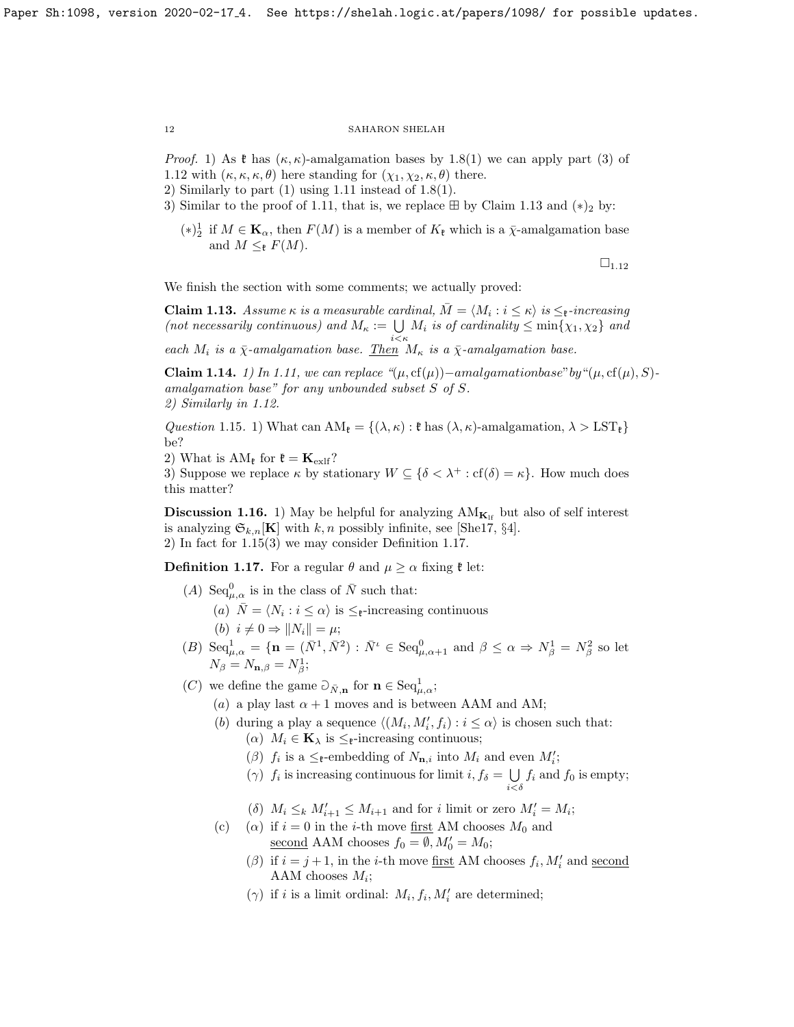*Proof.* 1) As  $\mathfrak{k}$  has  $(\kappa, \kappa)$ -amalgamation bases by [1.8\(](#page-9-0)1) we can apply part (3) of [1.12](#page-10-0) with  $(\kappa, \kappa, \kappa, \theta)$  here standing for  $(\chi_1, \chi_2, \kappa, \theta)$  there.

- 2) Similarly to part  $(1)$  using [1.11](#page-9-2) instead of 1.8 $(1)$ .
- 3) Similar to the proof of [1.11,](#page-9-2) that is, we replace  $\boxplus$  by Claim [1.13](#page-11-0) and  $(*)_2$  by:
	- (\*)<sup>1</sup>/<sub>2</sub> if  $M \in \mathbf{K}_{\alpha}$ , then  $F(M)$  is a member of  $K_{\mathfrak{k}}$  which is a  $\bar{\chi}$ -amalgamation base and  $M \leq_F F(M)$ .

 $\square_{1.12}$  $\square_{1.12}$  $\square_{1.12}$ 

We finish the section with some comments; we actually proved:

<span id="page-11-0"></span>**Claim 1.13.** Assume  $\kappa$  is a measurable cardinal,  $\overline{M} = \langle M_i : i \leq \kappa \rangle$  is  $\leq_{\mathfrak{k}}$ -increasing (not necessarily continuous) and  $M_{\kappa} := \bigcup_{i \leq \kappa} M_i$  is of cardinality  $\leq \min\{\chi_1, \chi_2\}$  and

each  $M_i$  is a  $\bar{\chi}$ -amalgamation base. Then  $M_{\kappa}$  is a  $\bar{\chi}$ -amalgamation base.

**Claim 1.14.** 1) In [1.11,](#page-9-2) we can replace " $(\mu, \text{cf}(\mu))$ −amalgamationbase" by " $(\mu, \text{cf}(\mu), S)$ amalgamation base" for any unbounded subset S of S. 2) Similarly in [1.12.](#page-10-0)

<span id="page-11-1"></span>Question 1.15. 1) What can  $AM_{\mathfrak{k}} = \{(\lambda, \kappa) : \mathfrak{k} \text{ has } (\lambda, \kappa) \text{-amalgamation, } \lambda > \text{LST}_{\mathfrak{k}} \}$ be?

2) What is  $AM_F$  for  $\mathfrak{k} = \mathbf{K}_{ext}$ ?

3) Suppose we replace  $\kappa$  by stationary  $W \subseteq {\delta < \lambda^+ : \text{cf}(\delta) = \kappa}$ . How much does this matter?

**Discussion 1.16.** 1) May be helpful for analyzing  $AM_{K_H}$  but also of self interest is analyzing  $\mathfrak{S}_{k,n}[\mathbf{K}]$  with k, n possibly infinite, see [\[She17,](#page-26-0) §4]. 2) In fact for [1.15\(](#page-11-1)3) we may consider Definition [1.17.](#page-11-2)

<span id="page-11-2"></span>**Definition 1.17.** For a regular  $\theta$  and  $\mu \ge \alpha$  fixing  $\mathfrak{k}$  let:

- (A) Seq<sub> $\mu,\alpha$ </sub> is in the class of  $\bar{N}$  such that:
	- (a)  $\overline{N} = \langle N_i : i \leq \alpha \rangle$  is  $\leq_{\mathfrak{k}}$ -increasing continuous (b)  $i \neq 0 \Rightarrow ||N_i|| = \mu;$
- (B)  $\text{Seq}_{\mu,\alpha}^1 = {\mathbf{n} = (\bar{N}^1, \bar{N}^2) : \bar{N}^{\mu} \in \text{Seq}_{\mu,\alpha+1}^0 \text{ and } \beta \leq \alpha \Rightarrow N_{\beta}^1 = N_{\beta}^2 \text{ so let}}$  $N_{\beta} = N_{\mathbf{n},\beta} = N_{\beta}^1;$
- (C) we define the game  $\partial_{\bar{N},n}$  for  $n \in \text{Seq}_{\mu,\alpha}^1$ ;
	- (a) a play last  $\alpha + 1$  moves and is between AAM and AM;
	- (b) during a play a sequence  $\langle (M_i, M'_i, f_i) : i \le \alpha \rangle$  is chosen such that: ( $\alpha$ )  $M_i \in \mathbf{K}_{\lambda}$  is  $\leq_{\mathfrak{k}}$ -increasing continuous;
		- ( $\beta$ )  $f_i$  is a  $\leq_{\mathfrak{k}}$ -embedding of  $N_{\mathbf{n},i}$  into  $M_i$  and even  $M'_i$ ;
		- ( $\gamma$ )  $f_i$  is increasing continuous for limit  $i, f_\delta = \bigcup$  $\bigcup_{i < \delta} f_i$  and  $f_0$  is empty;
		- (δ)  $M_i \leq_k M'_{i+1} \leq M_{i+1}$  and for i limit or zero  $M'_i = M_i$ ;
	- (c) (a) if  $i = 0$  in the *i*-th move first AM chooses  $M_0$  and <u>second</u> AAM chooses  $f_0 = \emptyset$ ,  $M'_0 = M_0$ ;
		- ( $\beta$ ) if  $i = j + 1$ , in the *i*-th move <u>first</u> AM chooses  $f_i$ ,  $M'_i$  and <u>second</u> AAM chooses  $M_i$ ;
		- ( $\gamma$ ) if *i* is a limit ordinal:  $M_i, f_i, M'_i$  are determined;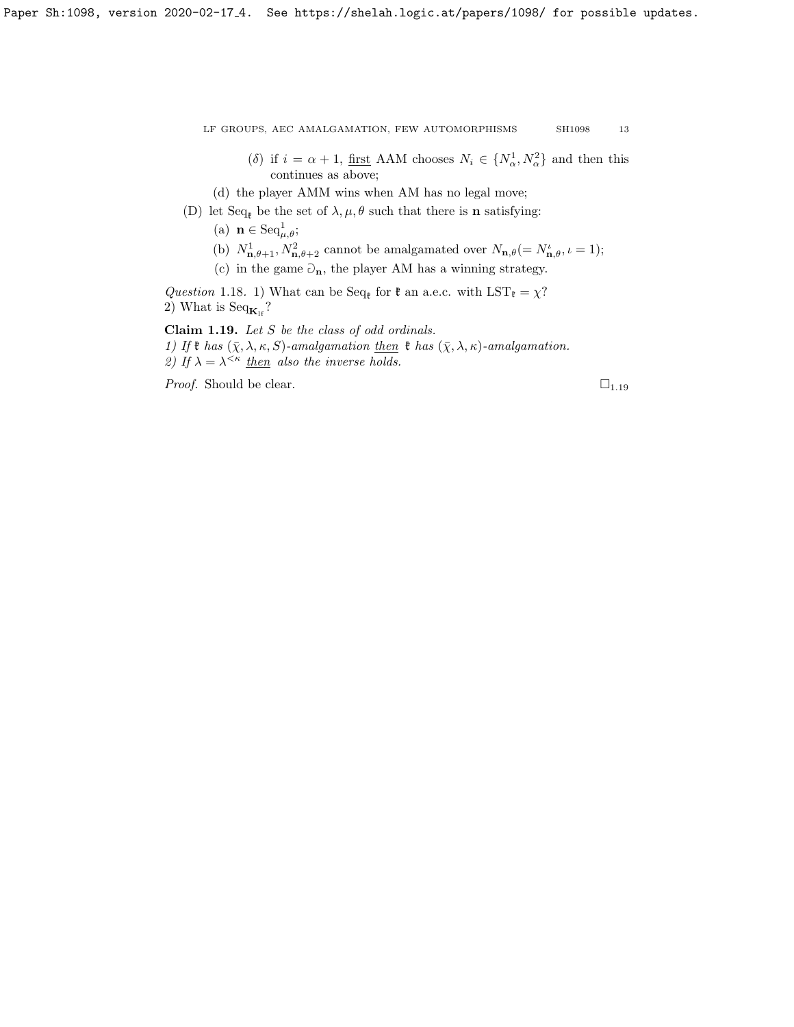- (δ) if  $i = \alpha + 1$ , <u>first</u> AAM chooses  $N_i \in \{N_\alpha^1, N_\alpha^2\}$  and then this continues as above;
- (d) the player AMM wins when AM has no legal move;
- (D) let  $Seq_{\ell}$  be the set of  $\lambda, \mu, \theta$  such that there is **n** satisfying:
	- (a)  $\mathbf{n} \in \text{Seq}_{\mu,\theta}^1;$
	- (b)  $N_{\mathbf{n},\theta+1}^1, N_{\mathbf{n},\theta+2}^2$  cannot be amalgamated over  $N_{\mathbf{n},\theta} (= N_{\mathbf{n},\theta}^i, \iota = 1);$
	- (c) in the game  $\mathfrak{O}_n$ , the player AM has a winning strategy.

Question 1.18. 1) What can be Seq<sub>k</sub> for  $\mathfrak{k}$  an a.e.c. with LST<sub>k</sub> =  $\chi$ ? 2) What is Seq $_{\mathbf{K}_{1f}}$ ?

<span id="page-12-0"></span>Claim 1.19. Let S be the class of odd ordinals. 1) If  $\mathfrak k$  has  $(\bar \chi, \lambda, \kappa, S)$ -amalgamation then  $\mathfrak k$  has  $(\bar \chi, \lambda, \kappa)$ -amalgamation. 2) If  $\lambda = \lambda^{<\kappa}$  then also the inverse holds.

*Proof.* Should be clear.  $\Box_{1.19}$  $\Box_{1.19}$  $\Box_{1.19}$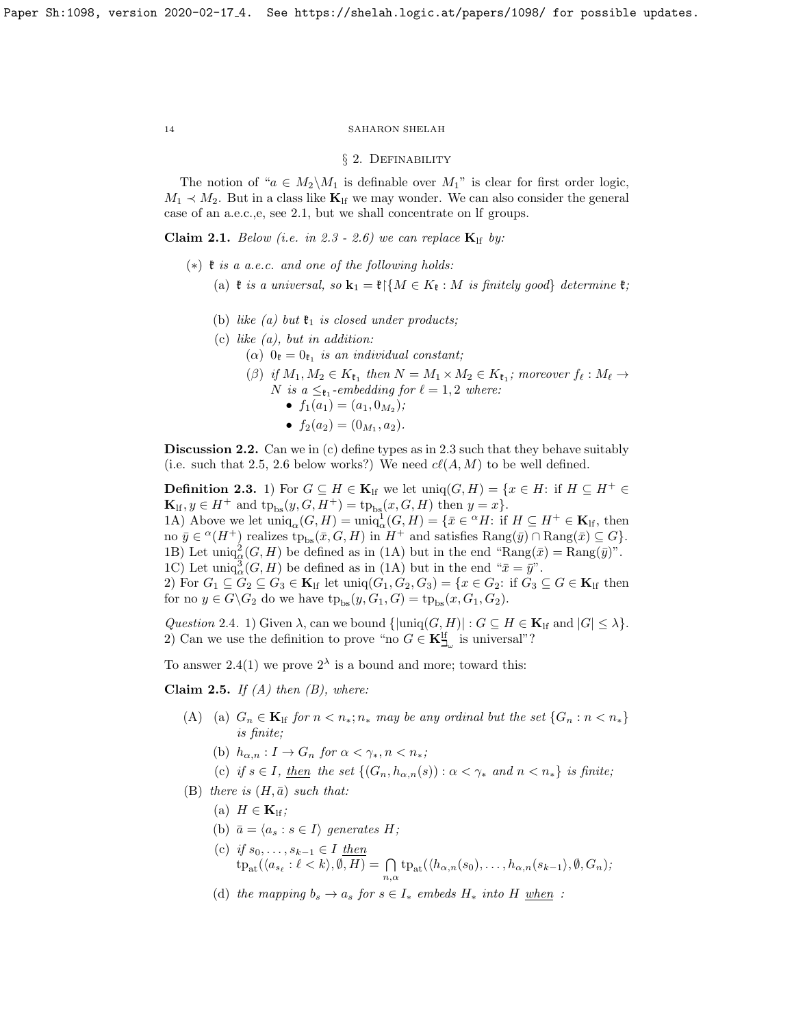#### § 2. Definability

The notion of " $a \in M_2 \backslash M_1$  is definable over  $M_1$ " is clear for first order logic,  $M_1 \prec M_2$ . But in a class like  $\mathbf{K}_{\text{lf}}$  we may wonder. We can also consider the general case of an a.e.c.,e, see [2.1,](#page-13-1) but we shall concentrate on lf groups.

<span id="page-13-1"></span>Claim 2.1. Below (i.e. in [2.3](#page-13-2) - [2.6\)](#page-14-0) we can replace  $\mathbf{K}_{\text{lf}}$  by:

- $(*)$  \# is a a.e.c. and one of the following holds:
	- (a)  $\mathfrak k$  is a universal, so  $\mathbf k_1 = \mathfrak k$  { $M \in K_{\mathfrak k} : M$  is finitely good} determine  $\mathfrak k$ ;
	- (b) like (a) but  $\mathfrak{k}_1$  is closed under products;
	- (c) like  $(a)$ , but in addition:
		- ( $\alpha$ )  $0_{\mathfrak{k}} = 0_{\mathfrak{k}_1}$  is an individual constant;
			- ( $\beta$ ) if  $M_1, M_2 \in K_{\mathfrak{k}_1}$  then  $N = M_1 \times M_2 \in K_{\mathfrak{k}_1}$ ; moreover  $f_{\ell} : M_{\ell} \to$ N is a  $\leq_{\mathfrak{k}_1}$ -embedding for  $\ell = 1, 2$  where:
				- $f_1(a_1) = (a_1, 0_{M_2});$
				- $f_2(a_2) = (0_{M_1}, a_2).$

Discussion 2.2. Can we in (c) define types as in [2.3](#page-13-2) such that they behave suitably (i.e. such that [2.5,](#page-13-3) [2.6](#page-14-0) below works?) We need  $cl(A, M)$  to be well defined.

<span id="page-13-2"></span>**Definition 2.3.** 1) For  $G \subseteq H \in \mathbf{K}$ <sub>If</sub> we let  $\text{uniq}(G, H) = \{x \in H: \text{ if } H \subseteq H^+ \in$  $\mathbf{K}_{\text{lf}}, y \in H^+$  and  $\text{tp}_{\text{bs}}(y, G, H^+) = \text{tp}_{\text{bs}}(x, G, H)$  then  $y = x$ . 1A) Above we let  $\text{uniq}_{\alpha}(G, H) = \text{uniq}_{\alpha}^1(G, H) = \{ \bar{x} \in {}^{\alpha}H : \text{if } H \subseteq H^+ \in \mathbf{K}_{\text{lf}} \}$ , then no  $\bar{y} \in {}^{\alpha}(H^+)$  realizes  $tp_{bs}(\bar{x}, G, H)$  in  $H^+$  and satisfies  $\text{Rang}(\bar{y}) \cap \text{Rang}(\bar{x}) \subseteq G$ . 1B) Let uniq<sub> $\alpha$ </sub> $(G, H)$  be defined as in (1A) but in the end "Rang( $\bar{x}$ ) = Rang( $\bar{y}$ )". 1C) Let uniq $^3_{\alpha}(G, H)$  be defined as in (1A) but in the end " $\bar{x} = \bar{y}$ ". 2) For  $G_1 \subseteq G_2 \subseteq G_3 \in \mathbf{K}_{\text{lf}}$  let  $\text{uniq}(G_1, G_2, G_3) = \{x \in G_2: \text{if } G_3 \subseteq G \in \mathbf{K}_{\text{lf}} \text{ then }$ for no  $y \in G \backslash G_2$  do we have  $tp_{bs}(y, G_1, G) = tp_{bs}(x, G_1, G_2)$ .

<span id="page-13-4"></span>Question 2.4. 1) Given  $\lambda$ , can we bound  $\{\lvert \text{uniq}(G, H) \rvert : G \subseteq H \in \mathbf{K}_{\text{lf}} \text{ and } |G| \leq \lambda\}.$ 2) Can we use the definition to prove "no  $G \in \mathbf{K}^{\text{lf}}_{\mathbf{Z}_{\omega}}$  is universal"?

To answer [2.4\(](#page-13-4)1) we prove  $2^{\lambda}$  is a bound and more; toward this:

<span id="page-13-3"></span>Claim 2.5. If  $(A)$  then  $(B)$ , where:

- (A) (a)  $G_n \in \mathbf{K}_{\text{lf}}$  for  $n < n_*; n_*$  may be any ordinal but the set  $\{G_n : n < n_*\}$ is finite;
	- (b)  $h_{\alpha,n}: I \to G_n$  for  $\alpha < \gamma_*, n < n_*$ ;
	- (c) if  $s \in I$ , then the set  $\{(G_n, h_{\alpha,n}(s)) : \alpha < \gamma_* \text{ and } n < n_*\}$  is finite;
- (B) there is  $(H, \bar{a})$  such that:
	- (a)  $H \in \mathbf{K}_{\text{lf}}$ ;
	- (b)  $\bar{a} = \langle a_s : s \in I \rangle$  generates H;
	- (c) if  $s_0, \ldots, s_{k-1} \in I$  then  $\mathrm{tp}_{\mathrm{at}}(\langle a_{s_\ell}:\ell < k \rangle, \emptyset, H) = \bigcap_{n,\alpha} \mathrm{tp}_{\mathrm{at}}(\langle h_{\alpha,n}(s_0), \ldots, h_{\alpha,n}(s_{k-1} \rangle, \emptyset, G_n);$
	- (d) the mapping  $b_s \to a_s$  for  $s \in I_*$  embeds  $H_*$  into  $H$  when :

<span id="page-13-0"></span>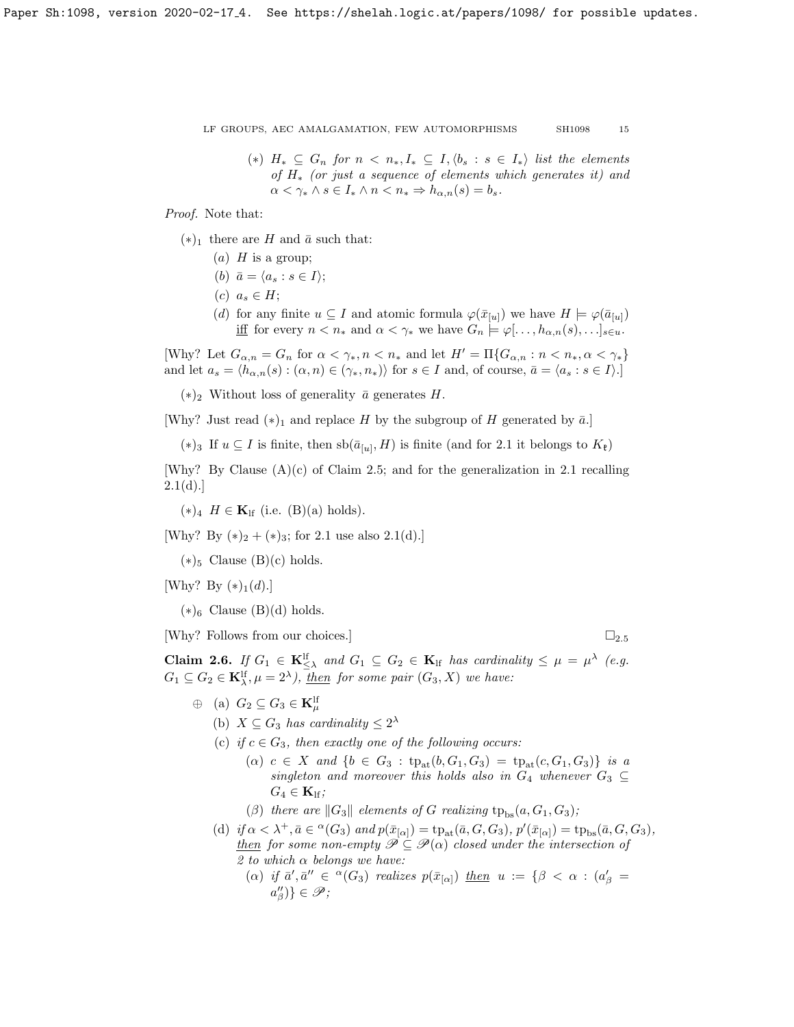(\*)  $H_* \subseteq G_n$  for  $n \lt n_*, I_* \subseteq I, \langle b_s : s \in I_* \rangle$  list the elements of H<sup>∗</sup> (or just a sequence of elements which generates it) and  $\alpha < \gamma_* \wedge s \in I_* \wedge n < n_* \Rightarrow h_{\alpha,n}(s) = b_s.$ 

Proof. Note that:

- $(*)_1$  there are H and  $\bar{a}$  such that:
	- (a)  $H$  is a group;
	- (b)  $\bar{a} = \langle a_s : s \in I \rangle;$
	- $(c)$   $a_s \in H$ ;
	- (d) for any finite  $u \subseteq I$  and atomic formula  $\varphi(\bar{x}_{[u]})$  we have  $H \models \varphi(\bar{a}_{[u]})$ iff for every  $n < n_*$  and  $\alpha < \gamma_*$  we have  $G_n \models \varphi[...,\hat{h}_{\alpha,n}(s),...]_{s \in u}$ .

[Why? Let  $G_{\alpha,n} = G_n$  for  $\alpha < \gamma_*, n < n_*$  and let  $H' = \Pi \{G_{\alpha,n} : n < n_*, \alpha < \gamma_*\}$ and let  $a_s = \langle h_{\alpha,n}(s) : (\alpha, n) \in (\gamma_*, n_*) \rangle$  for  $s \in I$  and, of course,  $\bar{a} = \langle a_s : s \in I \rangle$ .]

 $(*)_2$  Without loss of generality  $\bar{a}$  generates H.

[Why? Just read  $(*)_1$  and replace H by the subgroup of H generated by  $\bar{a}$ .]

 $(*)_3$  If  $u \subseteq I$  is finite, then  $sb(\bar{a}_{[u]},H)$  is finite (and for [2.1](#page-13-1) it belongs to  $K_{\ell}$ )

[Why? By Clause  $(A)(c)$  of Claim [2.5;](#page-13-3) and for the generalization in [2.1](#page-13-1) recalling  $2.1(d).$  $2.1(d).$ 

 $(*)_4$   $H \in \mathbf{K}_{\text{lf}}$  (i.e. (B)(a) holds).

[Why? By  $(*)_2 + (*)_3$ ; for [2.1](#page-13-1) use also [2.1\(](#page-13-1)d).]

 $(*)_5$  Clause  $(B)(c)$  holds.

[Why? By  $(*)_1(d)$ .]

 $(*)_6$  Clause  $(B)(d)$  holds.

[Why? Follows from our choices.]  $\Box_{2.5}$  $\Box_{2.5}$  $\Box_{2.5}$ 

<span id="page-14-0"></span>**Claim 2.6.** If  $G_1 \in \mathbf{K}_{\leq \lambda}^{\text{lf}}$  and  $G_1 \subseteq G_2 \in \mathbf{K}_{\text{lf}}$  has cardinality  $\leq \mu = \mu^{\lambda}$  (e.g.  $G_1 \subseteq G_2 \in \mathbf{K}_{\lambda}^{\text{lf}}, \mu = 2^{\lambda}), \underline{then}$  for some pair  $(G_3, X)$  we have:

- $\oplus$  (a)  $G_2 \subseteq G_3 \in \mathbf{K}_{\mu}^{\mathrm{lf}}$ 
	- (b)  $X \subseteq G_3$  has cardinality  $\leq 2^{\lambda}$
	- (c) if  $c \in G_3$ , then exactly one of the following occurs:
		- (a)  $c \in X$  and  $\{b \in G_3 : tp_{at}(b, G_1, G_3) = tp_{at}(c, G_1, G_3) \}$  is a singleton and moreover this holds also in  $G_4$  whenever  $G_3 \subseteq$  $G_4 \in \mathbf{K}_{\text{lf}}$ ;

(β) there are  $||G_3||$  elements of G realizing  $tp_{bs}(a, G_1, G_3);$ 

- (d) if  $\alpha < \lambda^+, \bar{a} \in {}^{\alpha}(G_3)$  and  $p(\bar{x}_{[\alpha]}) = \text{tp}_{\text{at}}(\bar{a}, G, G_3), p'(\bar{x}_{[\alpha]}) = \text{tp}_{\text{bs}}(\bar{a}, G, G_3),$ then for some non-empty  $\mathscr{P} \subseteq \mathscr{P}(\alpha)$  closed under the intersection of 2 to which  $\alpha$  belongs we have:
	- (a) if  $\bar{a}', \bar{a}'' \in {}^{\alpha}(G_3)$  realizes  $p(\bar{x}_{[\alpha]})$  then  $u := \{\beta < \alpha : (a'_{\beta} = \alpha)\}$  $a_{\beta}^{\prime\prime}\}\in\mathscr{P};$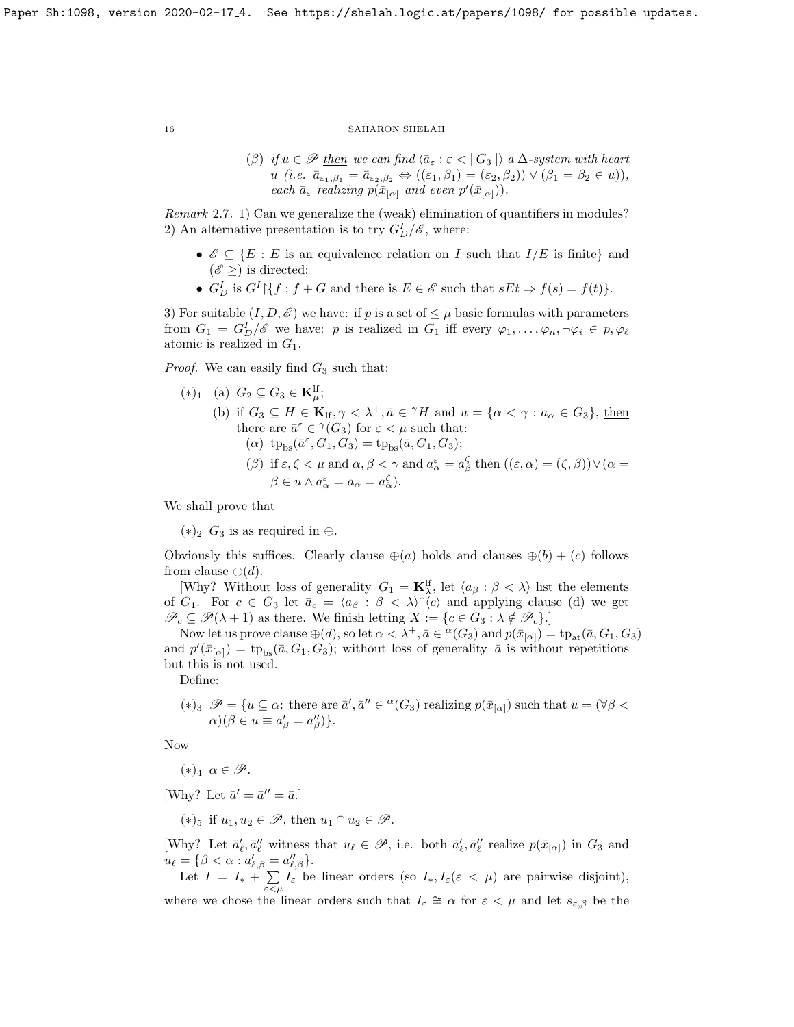(β) if  $u \in \mathscr{P}$  then we can find  $\langle \bar{a}_{\varepsilon} : \varepsilon < |G_3| \rangle$  a  $\Delta$ -system with heart u (i.e.  $\bar{a}_{\epsilon_1,\beta_1} = \bar{a}_{\epsilon_2,\beta_2} \Leftrightarrow ((\epsilon_1,\beta_1) = (\epsilon_2,\beta_2)) \vee (\beta_1 = \beta_2 \in u)),$ each  $\bar{a}_{\varepsilon}$  realizing  $p(\bar{x}_{[\alpha]}$  and even  $p'(\bar{x}_{[\alpha]})).$ 

Remark 2.7. 1) Can we generalize the (weak) elimination of quantifiers in modules? 2) An alternative presentation is to try  $G_D^I/\mathscr{E}$ , where:

- $\mathscr{E} \subseteq \{E : E \text{ is an equivalence relation on } I \text{ such that } I/E \text{ is finite} \}$  and  $(\mathscr{E} \geq)$  is directed;
- $G_D^I$  is  $G^I \setminus \{f : f + G \text{ and there is } E \in \mathscr{E} \text{ such that } sEt \Rightarrow f(s) = f(t)\}.$

3) For suitable  $(I, D, \mathscr{E})$  we have: if p is a set of  $\leq \mu$  basic formulas with parameters from  $G_1 = G_D^I / \mathscr{E}$  we have: p is realized in  $G_1$  iff every  $\varphi_1, \ldots, \varphi_n, \neg \varphi_i \in p, \varphi_\ell$ atomic is realized in  $G_1$ .

*Proof.* We can easily find  $G_3$  such that:

\n- (\*)<sub>1</sub> (a) 
$$
G_2 \subseteq G_3 \in \mathbf{K}_{\mu}^{\text{lf}};
$$
\n- (b) if  $G_3 \subseteq H \in \mathbf{K}_{\text{lf}}, \gamma < \lambda^+, \bar{a} \in {}^{\gamma}H$  and  $u = \{\alpha < \gamma : a_{\alpha} \in G_3\}, \underline{\text{then}}$  there are  $\bar{a}^{\varepsilon} \in {}^{\gamma}(G_3)$  for  $\varepsilon < \mu$  such that:
\n- (*\alpha*)  $\text{tp}_{\text{bs}}(\bar{a}^{\varepsilon}, G_1, G_3) = \text{tp}_{\text{bs}}(\bar{a}, G_1, G_3);$
\n- (*\beta*) if  $\varepsilon < \mu$  and  $\alpha & \beta < \gamma$  and  $a^{\varepsilon} = a^{\zeta}$  then  $((\varepsilon < \alpha) = (\zeta & \beta) \vee (\alpha = \alpha)^{\varepsilon}$  for all  $\alpha < \alpha < \alpha$  for all  $\alpha < \alpha < \alpha$  for all  $\alpha < \alpha < \alpha$  for all  $\alpha < \alpha < \alpha$  for all  $\alpha < \alpha < \alpha$  for all  $\alpha < \alpha < \alpha$  for all  $\alpha < \alpha < \alpha$  for all  $\alpha < \alpha < \alpha$  for all  $\alpha < \alpha < \alpha$  for all  $\alpha < \alpha < \alpha$  for all  $\alpha < \alpha < \alpha$  for all  $\alpha < \alpha < \alpha$  for all  $\alpha < \alpha < \alpha$  for all  $\alpha < \alpha < \alpha$  for all  $\alpha < \alpha < \alpha$  for all  $\alpha < \alpha < \alpha$  for all  $\alpha < \alpha < \alpha$  for

( $\beta$ ) if  $\varepsilon, \zeta < \mu$  and  $\alpha, \beta < \gamma$  and  $a_{\alpha}^{\varepsilon} = a_{\beta}^{\zeta}$  then  $((\varepsilon, \alpha) = (\zeta, \beta)) \vee (\alpha = \alpha)$  $\beta \in u \wedge a_{\alpha}^{\varepsilon} = a_{\alpha} = a_{\alpha}^{\zeta}.$ 

We shall prove that

 $(*)_2$  G<sub>3</sub> is as required in ⊕.

Obviously this suffices. Clearly clause  $\oplus(a)$  holds and clauses  $\oplus(b) + (c)$  follows from clause  $\oplus(d)$ .

[Why? Without loss of generality  $G_1 = \mathbf{K}_{\lambda}^{\text{lf}}$ , let  $\langle a_{\beta} : \beta < \lambda \rangle$  list the elements of  $G_1$ . For  $c \in G_3$  let  $\bar{a}_c = \langle a_\beta : \beta \langle \lambda \rangle \rangle \langle c \rangle$  and applying clause (d) we get  $\mathscr{P}_c \subseteq \mathscr{P}(\lambda + 1)$  as there. We finish letting  $X := \{c \in G_3 : \lambda \notin \mathscr{P}_c\}.$ 

Now let us prove clause  $\oplus(d)$ , so let  $\alpha < \lambda^+$ ,  $\bar{a} \in {}^{\alpha}(G_3)$  and  $p(\bar{x}_{[\alpha]}) = \text{tp}_{\text{at}}(\bar{a}, G_1, G_3)$ and  $p'(\bar{x}_{[\alpha]}) = \text{tp}_{bs}(\bar{a}, G_1, G_3)$ ; without loss of generality  $\bar{a}$  is without repetitions but this is not used.

Define:

(\*)<sub>3</sub> 
$$
\mathscr{P} = \{u \subseteq \alpha: \text{ there are } \overline{a}', \overline{a}'' \in {}^{\alpha}(G_3) \text{ realizing } p(\overline{x}_{[\alpha]}) \text{ such that } u = (\forall \beta < \alpha)(\beta \in u \equiv a'_{\beta} = a''_{\beta})\}.
$$

Now

 $(*)_4 \alpha \in \mathscr{P}.$ 

[Why? Let  $\bar{a}' = \bar{a}'' = \bar{a}$ .]

 $(*)_5$  if  $u_1, u_2 \in \mathscr{P}$ , then  $u_1 \cap u_2 \in \mathscr{P}$ .

[Why? Let  $\bar{a}'_{\ell}, \bar{a}''_{\ell}$  witness that  $u_{\ell} \in \mathscr{P}$ , i.e. both  $\bar{a}'_{\ell}, \bar{a}''_{\ell}$  realize  $p(\bar{x}_{[\alpha]})$  in  $G_3$  and  $u_{\ell} = {\beta < \alpha : a'_{\ell,\beta} = a''_{\ell,\beta}}.$ 

Let  $I = I_* + \sum$  $\sum_{\varepsilon \leq \mu} I_{\varepsilon}$  be linear orders (so  $I_*, I_{\varepsilon}(\varepsilon \leq \mu)$  are pairwise disjoint), where we chose the linear orders such that  $I_{\varepsilon} \cong \alpha$  for  $\varepsilon < \mu$  and let  $s_{\varepsilon,\beta}$  be the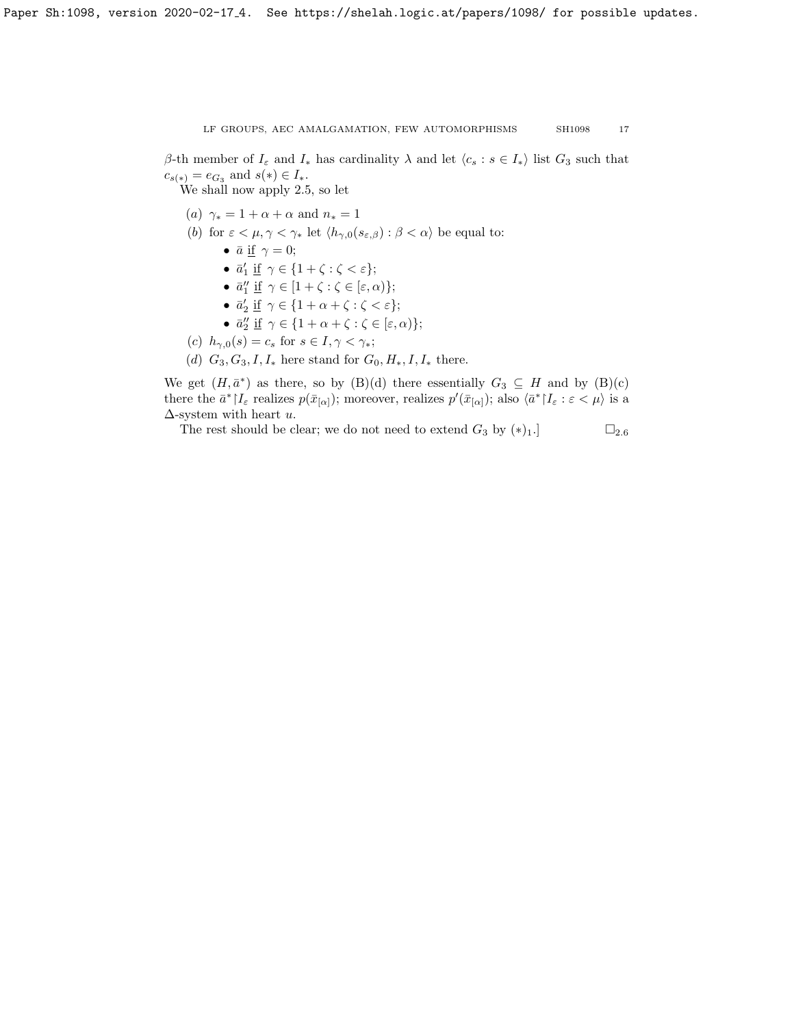β-th member of  $I_{\varepsilon}$  and  $I_{*}$  has cardinality  $\lambda$  and let  $\langle c_s : s \in I_{*} \rangle$  list  $G_3$  such that  $c_{s(*)} = e_{G_3}$  and  $s(*) \in I_*$ .

We shall now apply [2.5,](#page-13-3) so let

- (a)  $\gamma_* = 1 + \alpha + \alpha$  and  $n_* = 1$
- (b) for  $\varepsilon < \mu, \gamma < \gamma_*$  let  $\langle h_{\gamma,0}(s_{\varepsilon,\beta}) : \beta < \alpha \rangle$  be equal to:
	- $\bar{a}$  <u>if</u>  $\gamma = 0$ ;
	- $\bar{a}'_1 \underline{\text{if}} \gamma \in \{1+\zeta : \zeta < \varepsilon\};$
	- $\bar{a}''_1 \underline{\text{if}} \gamma \in [1 + \zeta : \zeta \in [\varepsilon, \alpha)\};$
	- $\bar{a}'_2 \underline{\text{if}} \gamma \in \{1 + \alpha + \zeta : \zeta < \varepsilon\};$
	- $\bar{a}''_2 \underline{\text{if}} \gamma \in \{1 + \alpha + \zeta : \zeta \in [\varepsilon, \alpha)\};$
- (c)  $h_{\gamma,0}(s) = c_s$  for  $s \in I, \gamma < \gamma_*$ ;
- (d)  $G_3, G_3, I, I_*$  here stand for  $G_0, H_*, I, I_*$  there.

We get  $(H, \bar{a}^*)$  as there, so by  $(B)(d)$  there essentially  $G_3 \subseteq H$  and by  $(B)(c)$ there the  $\bar{a}^*$   $|I_{\varepsilon}$  realizes  $p(\bar{x}_{[\alpha]})$ ; moreover, realizes  $p'(\bar{x}_{[\alpha]})$ ; also  $\langle \bar{a}^* | I_{\varepsilon} : \varepsilon < \mu \rangle$  is a  $\Delta$ -system with heart u.

The rest should be clear; we do not need to extend  $G_3$  by  $(*)_1$ .]  $\square_{2.6}$  $\square_{2.6}$  $\square_{2.6}$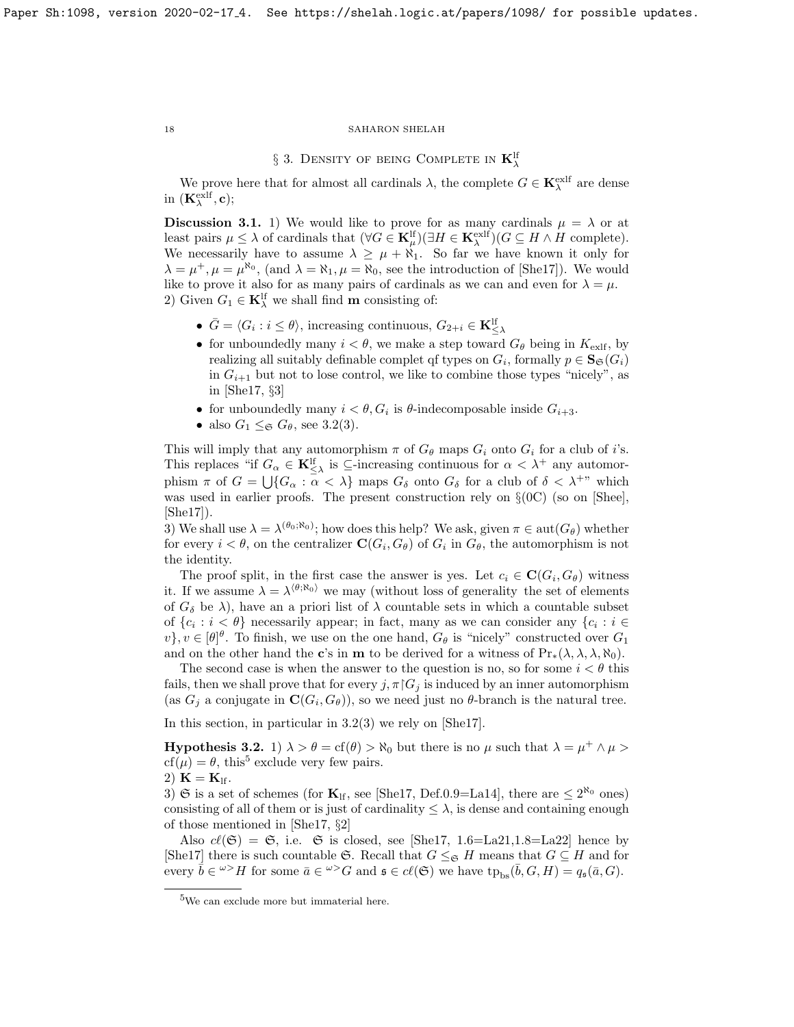# $\S$  3. Density of being Complete in  $\mathbf{K}_{\lambda}^{\text{lf}}$

We prove here that for almost all cardinals  $\lambda$ , the complete  $G \in \mathbf{K}_{\lambda}^{\text{exlf}}$  are dense in  $(\mathbf{K}_{\lambda}^{\text{exlf}}, \mathbf{c});$ 

**Discussion 3.1.** 1) We would like to prove for as many cardinals  $\mu = \lambda$  or at least pairs  $\mu \leq \lambda$  of cardinals that  $(\forall G \in \mathbf{K}_{\mu}^{\text{lf}})(\exists H \in \mathbf{K}_{\lambda}^{\text{exlf}})(G \subseteq H \wedge H \text{ complete}).$ We necessarily have to assume  $\lambda \geq \mu + \aleph_1$ . So far we have known it only for  $\lambda = \mu^+, \mu = \mu^{\aleph_0}$ , (and  $\lambda = \aleph_1, \mu = \aleph_0$ , see the introduction of [\[She17\]](#page-26-0)). We would like to prove it also for as many pairs of cardinals as we can and even for  $\lambda = \mu$ . 2) Given  $G_1 \in \mathbf{K}_{\lambda}^{\text{lf}}$  we shall find **m** consisting of:

- $\bar{G} = \langle G_i : i \leq \theta \rangle$ , increasing continuous,  $G_{2+i} \in \mathbf{K}_{\leq \lambda}^{\text{lf}}$
- for unboundedly many  $i < \theta$ , we make a step toward  $G_{\theta}$  being in  $K_{\text{exlf}}$ , by realizing all suitably definable complet of types on  $G_i$ , formally  $p \in \mathbf{S}_{\mathfrak{S}}(G_i)$ in  $G_{i+1}$  but not to lose control, we like to combine those types "nicely", as in [\[She17,](#page-26-0) §3]
- for unboundedly many  $i < \theta$ ,  $G_i$  is  $\theta$ -indecomposable inside  $G_{i+3}$ .
- also  $G_1 \leq_{\mathfrak{S}} G_{\theta}$ , see [3.2\(](#page-17-1)3).

This will imply that any automorphism  $\pi$  of  $G_{\theta}$  maps  $G_i$  onto  $G_i$  for a club of i's. This replaces "if  $G_{\alpha} \in \mathbf{K}_{\leq \lambda}^{\text{lf}}$  is  $\subseteq$ -increasing continuous for  $\alpha < \lambda^+$  any automorphism  $\pi$  of  $G = \bigcup \{ G_\alpha : \alpha < \lambda \}$  maps  $G_\delta$  onto  $G_\delta$  for a club of  $\delta < \lambda^{+}$ " which was used in earlier proofs. The present construction rely on  $\S(0C)$  (so on [\[Shee\]](#page-26-3), [\[She17\]](#page-26-0)).

3) We shall use  $\lambda = \lambda^{(\theta_0; \aleph_0)}$ ; how does this help? We ask, given  $\pi \in \text{aut}(G_{\theta})$  whether for every  $i < \theta$ , on the centralizer  $\mathbf{C}(G_i, G_{\theta})$  of  $G_i$  in  $G_{\theta}$ , the automorphism is not the identity.

The proof split, in the first case the answer is yes. Let  $c_i \in \mathbf{C}(G_i, G_{\theta})$  witness it. If we assume  $\lambda = \lambda^{\langle \theta, \aleph_0 \rangle}$  we may (without loss of generality the set of elements of  $G_{\delta}$  be  $\lambda$ ), have an a priori list of  $\lambda$  countable sets in which a countable subset of  $\{c_i : i < \theta\}$  necessarily appear; in fact, many as we can consider any  $\{c_i : i \in$  $v$ ,  $v \in [\theta]$ <sup> $\theta$ </sup>. To finish, we use on the one hand,  $G_{\theta}$  is "nicely" constructed over  $G_1$ and on the other hand the c's in **m** to be derived for a witness of  $Pr_*(\lambda, \lambda, \lambda, \aleph_0)$ .

The second case is when the answer to the question is no, so for some  $i < \theta$  this fails, then we shall prove that for every  $j, \pi | G_j$  is induced by an inner automorphism (as  $G_j$  a conjugate in  $\mathbf{C}(G_i, G_{\theta})$ ), so we need just no  $\theta$ -branch is the natural tree.

In this section, in particular in [3.2\(](#page-17-1)3) we rely on [\[She17\]](#page-26-0).

<span id="page-17-1"></span>**Hypothesis 3.2.** 1)  $\lambda > \theta = \text{cf}(\theta) > \aleph_0$  but there is no  $\mu$  such that  $\lambda = \mu^+ \wedge \mu >$  $cf(\mu) = \theta$ , this<sup>[5](#page-17-2)</sup> exclude very few pairs.

2)  $K = K_{\text{lf}}$ .

3) G is a set of schemes (for  $\mathbf{K}_{\text{lf}}$ , see [\[She17,](#page-26-0) Def.0.9=La14], there are  $\leq 2^{\aleph_0}$  ones) consisting of all of them or is just of cardinality  $\leq \lambda$ , is dense and containing enough of those mentioned in [\[She17,](#page-26-0) §2]

Also  $c\ell(\mathfrak{S}) = \mathfrak{S}$ , i.e.  $\mathfrak S$  is closed, see [\[She17,](#page-26-0) 1.6=La21,1.8=La22] hence by [\[She17\]](#page-26-0) there is such countable G. Recall that  $G \leq_{\mathfrak{S}} H$  means that  $G \subseteq H$  and for every  $\bar{b} \in \omega > H$  for some  $\bar{a} \in \omega > G$  and  $\mathfrak{s} \in cl(\mathfrak{S})$  we have  $tp_{bs}(\bar{b}, G, H) = q_{\mathfrak{s}}(\bar{a}, G)$ .

<span id="page-17-0"></span>

<span id="page-17-2"></span><sup>5</sup>We can exclude more but immaterial here.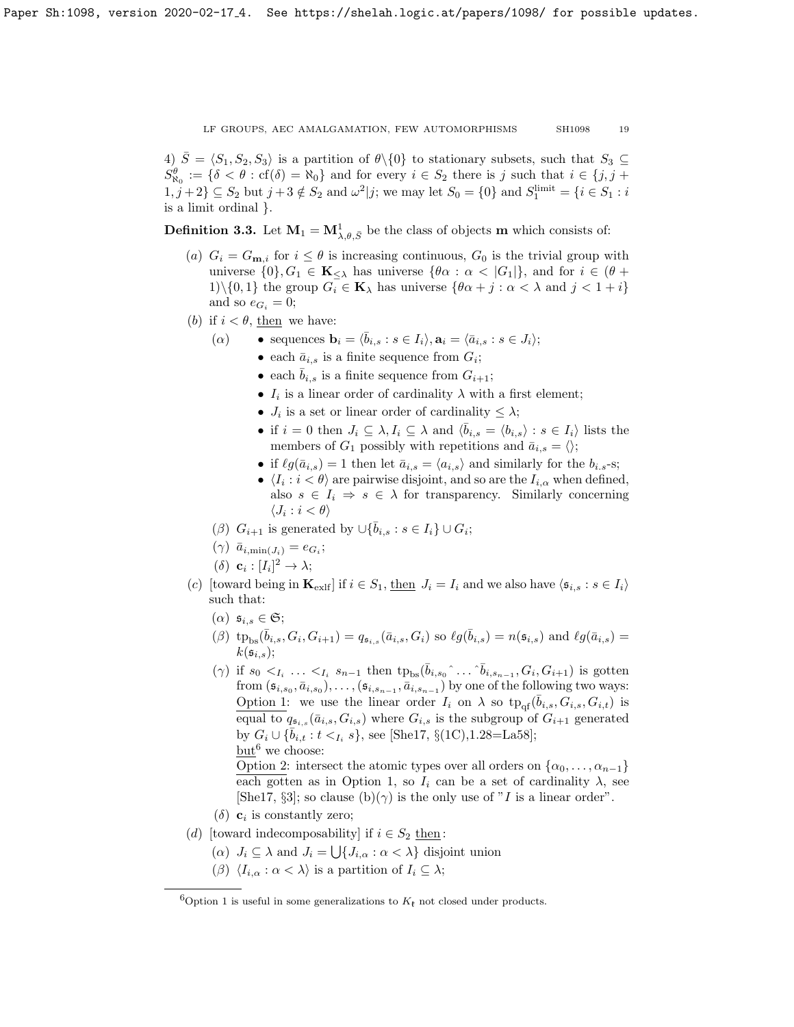4)  $\overline{S} = \langle S_1, S_2, S_3 \rangle$  is a partition of  $\theta \setminus \{0\}$  to stationary subsets, such that  $S_3 \subseteq$  $S^{\theta}_{\aleph_0} := {\delta < \theta : cf(\delta) = \aleph_0}$  and for every  $i \in S_2$  there is j such that  $i \in \{j, j + \theta\}$  $1, j+2$ }  $\subseteq S_2$  but  $j+3 \notin S_2$  and  $\omega^2|j$ ; we may let  $S_0 = \{0\}$  and  $S_1^{\text{limit}} = \{i \in S_1 : i$ is a limit ordinal }.

<span id="page-18-1"></span>**Definition 3.3.** Let  $M_1 = M^1_{\lambda,\theta,\bar{S}}$  be the class of objects m which consists of:

- (a)  $G_i = G_{\mathbf{m},i}$  for  $i \leq \theta$  is increasing continuous,  $G_0$  is the trivial group with universe  $\{0\}, G_1 \in \mathbf{K}_{\leq \lambda}$  has universe  $\{\theta \alpha : \alpha < |G_1|\}$ , and for  $i \in (\theta + \lambda)$ 1)\{0, 1} the group  $G_i \in \mathbf{K}_{\lambda}$  has universe  $\{\theta \alpha + j : \alpha < \lambda \text{ and } j < 1 + i\}$ and so  $e_{G_i} = 0$ ;
- (b) if  $i < \theta$ , then we have:
	- (a) sequences  $\mathbf{b}_i = \langle \bar{b}_{i,s} : s \in I_i \rangle, \mathbf{a}_i = \langle \bar{a}_{i,s} : s \in J_i \rangle;$ 
		- each  $\bar{a}_{i,s}$  is a finite sequence from  $G_i$ ;
			- each  $\bar{b}_{i,s}$  is a finite sequence from  $G_{i+1}$ ;
			- $I_i$  is a linear order of cardinality  $\lambda$  with a first element;
			- $J_i$  is a set or linear order of cardinality  $\leq \lambda$ ;
			- if  $i = 0$  then  $J_i \subseteq \lambda, I_i \subseteq \lambda$  and  $\langle \bar{b}_{i,s} = \langle b_{i,s} \rangle : s \in I_i \rangle$  lists the members of  $G_1$  possibly with repetitions and  $\bar{a}_{i,s} = \langle \rangle;$
			- if  $\ell g(\bar{a}_{i,s}) = 1$  then let  $\bar{a}_{i,s} = \langle a_{i,s} \rangle$  and similarly for the  $b_{i,s}$ -s;
			- $\langle I_i : i < \theta \rangle$  are pairwise disjoint, and so are the  $I_{i,\alpha}$  when defined, also  $s \in I_i \Rightarrow s \in \lambda$  for transparency. Similarly concerning  $\langle J_i : i < \theta \rangle$
	- ( $\beta$ )  $G_{i+1}$  is generated by  $\cup \{\bar{b}_{i,s} : s \in I_i\} \cup G_i;$
	- $(\gamma)$   $\bar{a}_{i,\min(J_i)} = e_{G_i};$
	- (δ)  $\mathbf{c}_i : [I_i]^2 \to \lambda;$
- (c) [toward being in  $\mathbf{K}_{\text{exlf}}$ ] if  $i \in S_1$ , then  $J_i = I_i$  and we also have  $\langle \mathfrak{s}_{i,s} : s \in I_i \rangle$ such that:
	- $(\alpha)$   $\mathfrak{s}_{i,s} \in \mathfrak{S};$
	- $(\beta)$  tp<sub>bs</sub> $(\bar{b}_{i,s}, G_i, G_{i+1}) = q_{\mathfrak{s}_{i,s}}(\bar{a}_{i,s}, G_i)$  so  $\ell g(\bar{b}_{i,s}) = n(\mathfrak{s}_{i,s})$  and  $\ell g(\bar{a}_{i,s}) =$  $k(\mathfrak{s}_{i,s});$
	- ( $\gamma$ ) if  $s_0 <_{I_i} \ldots <_{I_i} s_{n-1}$  then  $tp_{bs}(\bar{b}_{i,s_0} \hat{\ldots} \hat{b}_{i,s_{n-1}}, G_i, G_{i+1})$  is gotten from  $(\mathfrak{s}_{i,s_0}, \bar{a}_{i,s_0}), \ldots, (\mathfrak{s}_{i,s_{n-1}}, \bar{a}_{i,s_{n-1}})$  by one of the following two ways: Option 1: we use the linear order  $I_i$  on  $\lambda$  so  $tp_{\text{qf}}(\bar{b}_{i,s}, G_{i,s}, G_{i,t})$  is equal to  $q_{\mathfrak{s}_{i,s}}(\bar{a}_{i,s}, G_{i,s})$  where  $G_{i,s}$  is the subgroup of  $G_{i+1}$  generated by  $G_i \cup \{\bar{b}_{i,t} : t <_{I_i} s\}$ , see [\[She17,](#page-26-0) §(1C),1.28=La58]; but<sup>[6](#page-18-0)</sup> we choose:

Option 2: intersect the atomic types over all orders on  $\{\alpha_0, \ldots, \alpha_{n-1}\}\$ each gotten as in Option 1, so  $I_i$  can be a set of cardinality  $\lambda$ , see [\[She17,](#page-26-0) §3]; so clause (b)( $\gamma$ ) is the only use of "I is a linear order".

- ( $\delta$ ) **c**<sub>i</sub> is constantly zero;
- (d) [toward indecomposability] if  $i \in S_2$  then:
	- $(\alpha)$   $J_i \subseteq \lambda$  and  $J_i = \bigcup \{J_{i,\alpha} : \alpha < \lambda\}$  disjoint union
	- (β)  $\langle I_{i,\alpha} : \alpha < \lambda \rangle$  is a partition of  $I_i \subseteq \lambda$ ;

<span id="page-18-0"></span><sup>&</sup>lt;sup>6</sup>Option 1 is useful in some generalizations to  $K_{\ell}$  not closed under products.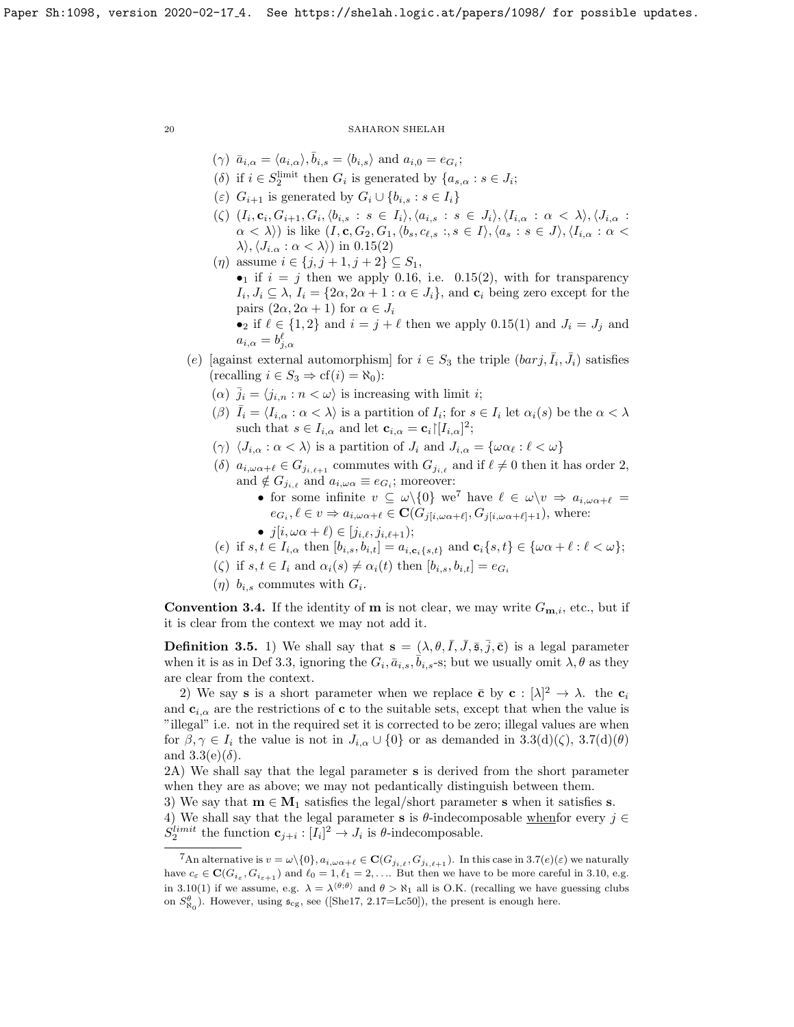- $(\gamma) \ \bar{a}_{i,\alpha} = \langle a_{i,\alpha} \rangle, \bar{b}_{i,s} = \langle b_{i,s} \rangle \text{ and } a_{i,0} = e_{G_i};$
- (δ) if  $i \in S_2^{\text{limit}}$  then  $G_i$  is generated by  $\{a_{s,\alpha}: s \in J_i;$
- (ε)  $G_{i+1}$  is generated by  $G_i \cup \{b_{i,s} : s \in I_i\}$
- $(\zeta)$   $(I_i, \mathbf{c}_i, G_{i+1}, G_i, \langle b_{i,s} : s \in I_i \rangle, \langle a_{i,s} : s \in J_i \rangle, \langle I_{i,\alpha} : \alpha \langle \lambda \rangle, \langle J_{i,\alpha} :$  $(\alpha < \lambda)$  is like  $(I, \mathbf{c}, G_2, G_1, \langle b_s, c_{\ell,s} : s \in I \rangle, \langle a_s : s \in J \rangle, \langle I_{i,\alpha} : \alpha <$  $\lambda\langle J_{i,\alpha} : \alpha < \lambda \rangle$  in [0.15\(](#page-5-4)2)
- (*η*) assume  $i \in \{j, j + 1, j + 2\} \subseteq S_1$ , • if  $i = j$  then we apply [0.16,](#page-6-0) i.e. [0.15\(](#page-5-4)2), with for transparency  $I_i, J_i \subseteq \lambda$ ,  $I_i = \{2\alpha, 2\alpha + 1 : \alpha \in J_i\}$ , and  $\mathbf{c}_i$  being zero except for the pairs  $(2\alpha, 2\alpha + 1)$  for  $\alpha \in J_i$ • if  $\ell \in \{1, 2\}$  and  $i = j + \ell$  then we apply [0.15\(](#page-5-4)1) and  $J_i = J_j$  and
	- $a_{i,\alpha} = b_{j,\alpha}^{\ell}$
- (e) [against external automorphism] for  $i \in S_3$  the triple  $(barj, \overline{I}_i, \overline{J}_i)$  satisfies  $(\text{recalling } i \in S_3 \Rightarrow \text{cf}(i) = \aleph_0)$ :
	- ( $\alpha$ )  $\bar{j}_i = \langle j_{i,n} : n < \omega \rangle$  is increasing with limit *i*;
	- ( $\beta$ )  $\bar{I}_i = \langle I_{i,\alpha} : \alpha < \lambda \rangle$  is a partition of  $I_i$ ; for  $s \in I_i$  let  $\alpha_i(s)$  be the  $\alpha < \lambda$ such that  $s \in I_{i,\alpha}$  and let  $\mathbf{c}_{i,\alpha} = \mathbf{c}_i | [I_{i,\alpha}]^2;$
	- (γ)  $\langle J_{i,\alpha} : \alpha < \lambda \rangle$  is a partition of  $J_i$  and  $J_{i,\alpha} = {\omega \alpha_{\ell} : \ell < \omega}$
	- (δ)  $a_{i,\omega \alpha+\ell} \in G_{j_{i,\ell+1}}$  commutes with  $G_{j_{i,\ell}}$  and if  $\ell \neq 0$  then it has order 2, and  $\notin G_{j_{i,\ell}}$  and  $a_{i,\omega\alpha} \equiv e_{G_i}$ ; moreover:
		- for some infinite  $v \subseteq \omega \setminus \{0\}$  we<sup>[7](#page-19-0)</sup> have  $\ell \in \omega \setminus v \Rightarrow a_{i,\omega \alpha + \ell} =$  $e_{G_i}, \ell \in v \Rightarrow a_{i,\omega \alpha+\ell} \in \mathbf{C}(G_{j[i,\omega \alpha+\ell]}, G_{j[i,\omega \alpha+\ell]+1}),$  where:
		- $j[i, \omega \alpha + \ell] \in [j_{i,\ell}, j_{i,\ell+1});$
	- (e) if  $s, t \in I_{i,\alpha}$  then  $[b_{i,s}, b_{i,t}] = a_{i,c_i\{s,t\}}$  and  $c_i\{s,t\} \in {\omega\alpha + \ell : \ell < \omega};$
	- ( $\zeta$ ) if  $s, t \in I_i$  and  $\alpha_i(s) \neq \alpha_i(t)$  then  $[b_{i,s}, b_{i,t}] = e_{G_i}$
	- $(\eta)$   $b_{i,s}$  commutes with  $G_i$ .

**Convention 3.4.** If the identity of **m** is not clear, we may write  $G_{\mathbf{m},i}$ , etc., but if it is clear from the context we may not add it.

**Definition 3.5.** 1) We shall say that  $\mathbf{s} = (\lambda, \theta, \overline{I}, \overline{J}, \overline{\mathbf{s}}, \overline{j}, \overline{\mathbf{c}})$  is a legal parameter when it is as in Def [3.3,](#page-18-1) ignoring the  $G_i$ ,  $\bar{a}_{i,s}$ ,  $\bar{b}_{i,s}$ -s; but we usually omit  $\lambda$ ,  $\theta$  as they are clear from the context.

2) We say **s** is a short parameter when we replace  $\bar{c}$  by  $c : [\lambda]^2 \to \lambda$ . the  $c_i$ and  $c_{i,\alpha}$  are the restrictions of c to the suitable sets, except that when the value is "illegal" i.e. not in the required set it is corrected to be zero; illegal values are when for  $\beta, \gamma \in I_i$  the value is not in  $J_{i,\alpha} \cup \{0\}$  or as demanded in [3.3\(](#page-18-1)d)( $\zeta$ ), [3.7\(](#page-20-0)d)( $\theta$ ) and  $3.3(e)(\delta)$ .

2A) We shall say that the legal parameter s is derived from the short parameter when they are as above; we may not pedantically distinguish between them.

3) We say that  $m \in M_1$  satisfies the legal/short parameter s when it satisfies s.

4) We shall say that the legal parameter **s** is  $\theta$ -indecomposable whenfor every  $j \in \mathbb{Z}$  $S_2^{limit}$  the function  $\mathbf{c}_{j+i} : [I_i]^2 \to J_i$  is  $\theta$ -indecomposable.

<span id="page-19-0"></span><sup>&</sup>lt;sup>7</sup>An alternative is  $v = \omega \setminus \{0\}$ ,  $a_{i,\omega \alpha+\ell} \in \mathbf{C}(G_{j_{i},\ell}, G_{j_{i},\ell+1})$ . In this case in [3.7\(](#page-20-0)e)( $\varepsilon$ ) we naturally have  $c_{\varepsilon} \in \mathbf{C}(G_{i_{\varepsilon}}, G_{i_{\varepsilon+1}})$  and  $\ell_0 = 1, \ell_1 = 2, \ldots$  But then we have to be more careful in [3.10,](#page-21-1) e.g. in [3.10\(](#page-21-1)1) if we assume, e.g.  $\lambda = \lambda^{(\theta,\theta)}$  and  $\theta > \aleph_1$  all is O.K. (recalling we have guessing clubs on  $S_{\aleph_0}^{\theta}$ ). However, using  $\mathfrak{s}_{cg}$ , see ([\[She17,](#page-26-0) 2.17=Lc50]), the present is enough here.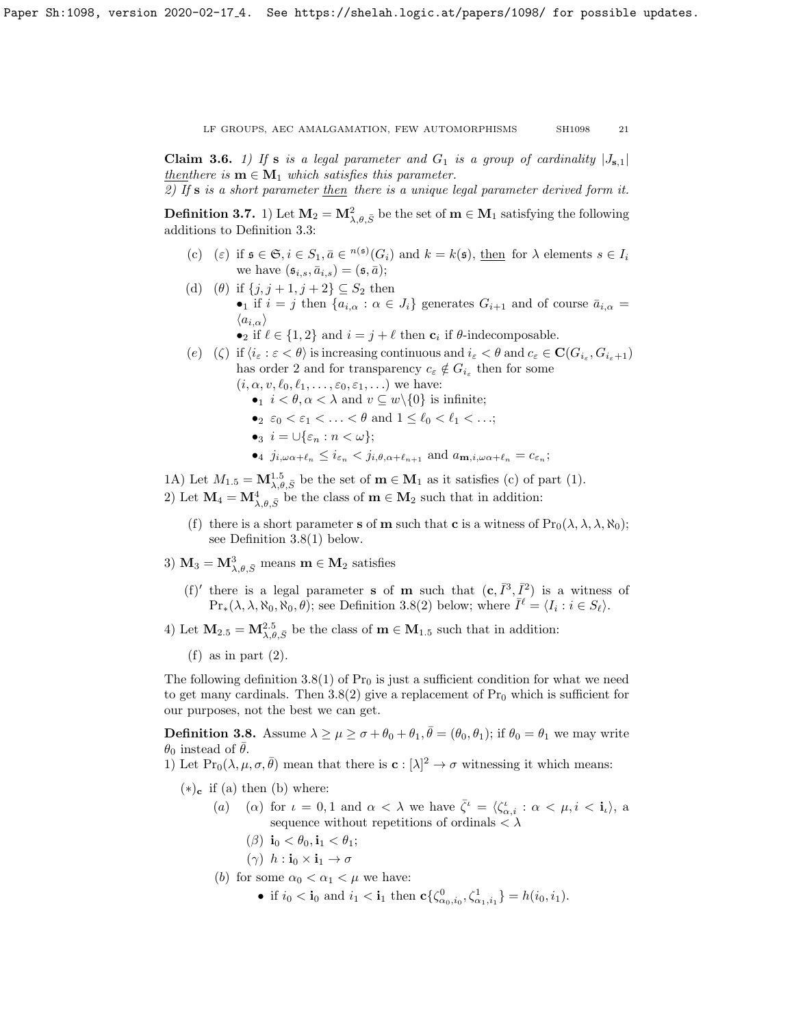<span id="page-20-2"></span>**Claim 3.6.** 1) If **s** is a legal parameter and  $G_1$  is a group of cardinality  $|J_{s,1}|$ thenthere is  $m \in M_1$  which satisfies this parameter.

2) If s is a short parameter then there is a unique legal parameter derived form it.

<span id="page-20-0"></span>**Definition 3.7.** 1) Let  $M_2 = M_{\lambda,\theta,\bar{S}}^2$  be the set of  $m \in M_1$  satisfying the following additions to Definition [3.3:](#page-18-1)

- (c) ( $\varepsilon$ ) if  $\mathfrak{s} \in \mathfrak{S}, i \in S_1, \bar{a} \in {}^{n(\mathfrak{s})}(G_i)$  and  $k = k(\mathfrak{s})$ , then for  $\lambda$  elements  $s \in I_i$ we have  $(\mathfrak{s}_{i,s}, \bar{a}_{i,s}) = (\mathfrak{s}, \bar{a});$
- (d) ( $\theta$ ) if  $\{j, j+1, j+2\} \subseteq S_2$  then •<sub>1</sub> if  $i = j$  then  $\{a_{i,\alpha} : \alpha \in J_i\}$  generates  $G_{i+1}$  and of course  $\bar{a}_{i,\alpha} =$  $\langle a_{i,\alpha} \rangle$ 
	- if  $\ell \in \{1, 2\}$  and  $i = j + \ell$  then  $\mathbf{c}_i$  if  $\theta$ -indecomposable.
- (e) ( $\zeta$ ) if  $\langle i_{\varepsilon} : \varepsilon < \theta \rangle$  is increasing continuous and  $i_{\varepsilon} < \theta$  and  $c_{\varepsilon} \in \mathbf{C}(G_{i_{\varepsilon}}, G_{i_{\varepsilon}+1})$ has order 2 and for transparency  $c_{\varepsilon} \notin G_{i_{\varepsilon}}$  then for some  $(i, \alpha, v, \ell_0, \ell_1, \ldots, \varepsilon_0, \varepsilon_1, \ldots)$  we have:
	- $i < \theta, \alpha < \lambda$  and  $v \subseteq w \setminus \{0\}$  is infinite;
	- $2 \varepsilon_0 < \varepsilon_1 < \ldots < \theta$  and  $1 \leq \ell_0 < \ell_1 < \ldots;$
	- •<sub>3</sub>  $i = \bigcup \{\varepsilon_n : n < \omega\};$
	- $i_j, \omega \alpha + \ell_n \leq i_{\epsilon_n} < j_{i, \theta, \alpha + \ell_{n+1}}$  and  $a_{\mathbf{m}, i, \omega \alpha + \ell_n} = c_{\epsilon_n};$

1A) Let  $M_{1.5} = M_{\lambda,\theta,\bar{S}}^{1.5}$  be the set of  $\mathbf{m} \in \mathbf{M}_1$  as it satisfies (c) of part (1).

2) Let  $\mathbf{M}_4 = \mathbf{M}_{\lambda,\theta,\bar{S}}^4$  be the class of  $\mathbf{m} \in \mathbf{M}_2$  such that in addition:

- (f) there is a short parameter s of **m** such that **c** is a witness of  $\text{Pr}_0(\lambda, \lambda, \lambda, \aleph_0);$ see Definition [3.8\(](#page-20-1)1) below.
- 3)  $M_3 = M_{\lambda,\theta,\bar{S}}^3$  means  $\mathbf{m} \in \mathbf{M}_2$  satisfies
	- (f)' there is a legal parameter **s** of **m** such that  $(c, \bar{I}^3, \bar{I}^2)$  is a witness of  $\Pr_*(\lambda, \lambda, \aleph_0, \aleph_0, \theta)$ ; see Definition [3.8\(](#page-20-1)2) below; where  $\overline{I}^{\ell} = \langle I_i : i \in S_{\ell} \rangle$ .
- 4) Let  $M_{2.5} = M_{\lambda,\theta,\bar{S}}^{2.5}$  be the class of  $\mathbf{m} \in M_{1.5}$  such that in addition:
	- $(f)$  as in part  $(2)$ .

The following definition [3.8\(](#page-20-1)1) of  $Pr_0$  is just a sufficient condition for what we need to get many cardinals. Then  $3.8(2)$  give a replacement of  $Pr_0$  which is sufficient for our purposes, not the best we can get.

<span id="page-20-1"></span>**Definition 3.8.** Assume  $\lambda \geq \mu \geq \sigma + \theta_0 + \theta_1$ ,  $\bar{\theta} = (\theta_0, \theta_1)$ ; if  $\theta_0 = \theta_1$  we may write  $\theta_0$  instead of  $\theta$ .

1) Let  $\Pr_0(\lambda, \mu, \sigma, \bar{\theta})$  mean that there is  $\mathbf{c} : [\lambda]^2 \to \sigma$  witnessing it which means:

 $(*)_c$  if (a) then (b) where:

- (a) (a) for  $\iota = 0, 1$  and  $\alpha < \lambda$  we have  $\bar{\zeta}^{\iota} = \langle \zeta^{\iota}_{\alpha,i} : \alpha < \mu, i < \mathbf{i}_{\iota} \rangle$ , a sequence without repetitions of ordinals  $\langle \lambda \rangle$ 
	- ( $\beta$ ) i<sub>0</sub> <  $\theta_0$ , i<sub>1</sub> <  $\theta_1$ ;
	- $(\gamma)$   $h : \mathbf{i}_0 \times \mathbf{i}_1 \to \sigma$
- (b) for some  $\alpha_0 < \alpha_1 < \mu$  we have:
	- if  $i_0 < \mathbf{i}_0$  and  $i_1 < \mathbf{i}_1$  then  $c\{\zeta_{\alpha_0,i_0}^0, \zeta_{\alpha_1,i_1}^1\} = h(i_0, i_1)$ .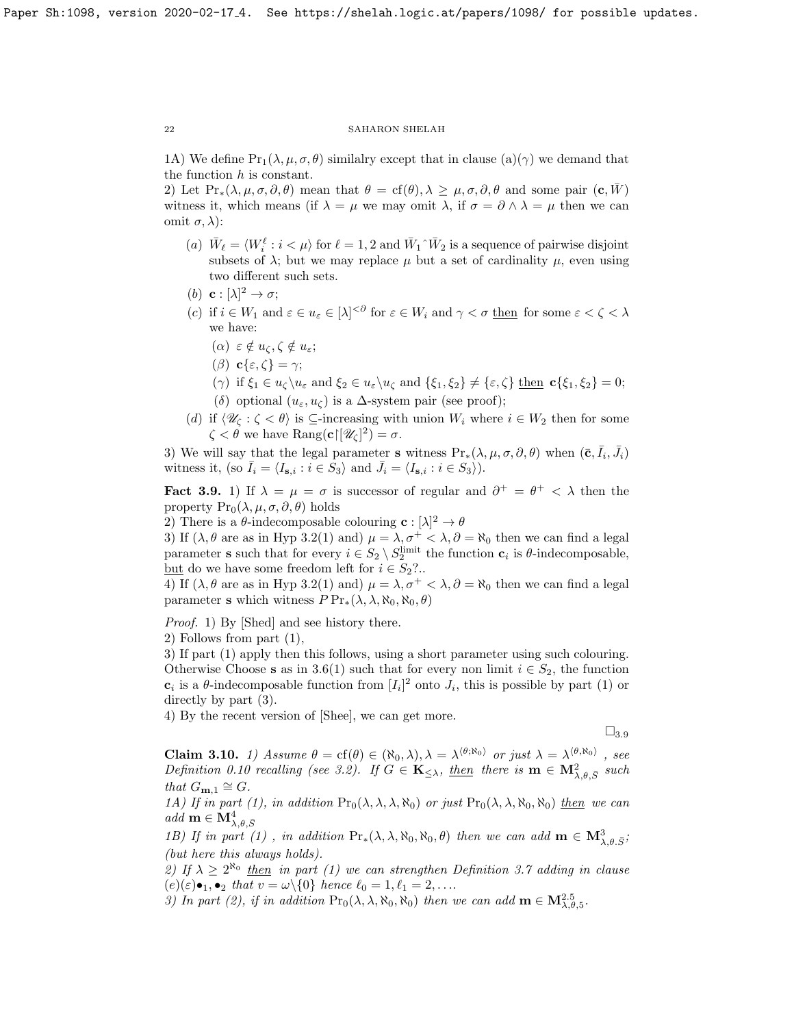1A) We define  $Pr_1(\lambda, \mu, \sigma, \theta)$  similalry except that in clause  $(a)(\gamma)$  we demand that the function  $h$  is constant.

2) Let  $\Pr_*(\lambda, \mu, \sigma, \partial, \theta)$  mean that  $\theta = \text{cf}(\theta), \lambda \geq \mu, \sigma, \partial, \theta$  and some pair  $(\mathbf{c}, W)$ witness it, which means (if  $\lambda = \mu$  we may omit  $\lambda$ , if  $\sigma = \partial \wedge \lambda = \mu$  then we can omit  $\sigma$ ,  $\lambda$ ):

- (a)  $\bar{W}_\ell = \langle W_i^\ell : i < \mu \rangle$  for  $\ell = 1, 2$  and  $\bar{W}_1 \hat{W}_2$  is a sequence of pairwise disjoint subsets of  $\lambda$ ; but we may replace  $\mu$  but a set of cardinality  $\mu$ , even using two different such sets.
- (b) **c** :  $[\lambda]^2 \rightarrow \sigma$ ;
- (c) if  $i \in W_1$  and  $\varepsilon \in u_{\varepsilon} \in [\lambda]^{<\partial}$  for  $\varepsilon \in W_i$  and  $\gamma < \sigma$  then for some  $\varepsilon < \zeta < \lambda$ we have:
	- $(\alpha) \varepsilon \notin u_{\zeta}, \zeta \notin u_{\varepsilon};$
	- (β)  $c\{\varepsilon,\zeta\}=\gamma;$
	- (γ) if  $\xi_1 \in u_\zeta \setminus u_\varepsilon$  and  $\xi_2 \in u_\varepsilon \setminus u_\zeta$  and  $\{\xi_1, \xi_2\} \neq \{\varepsilon, \zeta\}$  then  $\mathbf{c}\{\xi_1, \xi_2\} = 0;$ (δ) optional  $(u_{\varepsilon}, u_{\zeta})$  is a  $\Delta$ -system pair (see proof);
- (d) if  $\langle \mathcal{U}_\zeta : \zeta < \theta \rangle$  is ⊆-increasing with union  $W_i$  where  $i \in W_2$  then for some  $\zeta < \theta$  we have  $\text{Rang}(\mathbf{c} \mid [\mathscr{U}_{\zeta}]^2) = \sigma.$

3) We will say that the legal parameter s witness  $Pr_*(\lambda, \mu, \sigma, \partial, \theta)$  when  $(\bar{c}, \bar{I}_i, \bar{J}_i)$ witness it, (so  $\bar{I}_i = \langle I_{\mathbf{s},i} : i \in \hat{S}_3 \rangle$  and  $\bar{J}_i = \langle I_{\mathbf{s},i} : i \in S_3 \rangle$ ).

<span id="page-21-0"></span>Fact 3.9. 1) If  $\lambda = \mu = \sigma$  is successor of regular and  $\partial^+ = \theta^+ < \lambda$  then the property  $Pr_0(\lambda, \mu, \sigma, \partial, \theta)$  holds

2) There is a  $\theta$ -indecomposable colouring  $\mathbf{c}: [\lambda]^2 \to \theta$ 

3) If  $(\lambda, \theta \text{ are as in Hyp 3.2(1) and}) \mu = \lambda, \sigma^+ < \lambda, \partial = \aleph_0$  $(\lambda, \theta \text{ are as in Hyp 3.2(1) and}) \mu = \lambda, \sigma^+ < \lambda, \partial = \aleph_0$  $(\lambda, \theta \text{ are as in Hyp 3.2(1) and}) \mu = \lambda, \sigma^+ < \lambda, \partial = \aleph_0$  then we can find a legal parameter **s** such that for every  $i \in S_2 \setminus S_2^{\text{limit}}$  the function  $c_i$  is  $\theta$ -indecomposable, <u>but</u> do we have some freedom left for  $i \in S_2$ ?..

4) If  $(\lambda, \theta \text{ are as in Hyp 3.2(1) and}) \mu = \lambda, \sigma^+ \langle \lambda, \partial \rangle = \aleph_0$  $(\lambda, \theta \text{ are as in Hyp 3.2(1) and}) \mu = \lambda, \sigma^+ \langle \lambda, \partial \rangle = \aleph_0$  $(\lambda, \theta \text{ are as in Hyp 3.2(1) and}) \mu = \lambda, \sigma^+ \langle \lambda, \partial \rangle = \aleph_0$  then we can find a legal parameter s which witness  $P Pr_*(\lambda, \lambda, \aleph_0, \aleph_0, \theta)$ 

Proof. 1) By [\[Shed\]](#page-26-19) and see history there.

2) Follows from part (1),

3) If part (1) apply then this follows, using a short parameter using such colouring. Otherwise Choose s as in [3.6\(](#page-20-2)1) such that for every non limit  $i \in S_2$ , the function  $\mathbf{c}_i$  is a  $\theta$ -indecomposable function from  $[I_i]^2$  onto  $J_i$ , this is possible by part (1) or directly by part (3).

4) By the recent version of [\[Shee\]](#page-26-3), we can get more.

 $\square_{3.9}$  $\square_{3.9}$  $\square_{3.9}$ 

<span id="page-21-1"></span>**Claim 3.10.** 1) Assume  $\theta = cf(\theta) \in (\aleph_0, \lambda), \lambda = \lambda^{\langle \theta, \aleph_0 \rangle}$  or just  $\lambda = \lambda^{\langle \theta, \aleph_0 \rangle}$ , see Definition [0.10](#page-4-2) recalling (see [3.2\)](#page-17-1). If  $G \in \mathbf{K}_{\leq \lambda}$ , then there is  $\mathbf{m} \in \mathbf{M}^2_{\lambda,\theta,\bar{S}}$  such that  $G_{\mathbf{m},1} \cong G$ .

1A) If in part (1), in addition  $Pr_0(\lambda, \lambda, \lambda, \aleph_0)$  or just  $Pr_0(\lambda, \lambda, \aleph_0, \aleph_0)$  then we can  $add \mathbf{m} \in \mathbf{M}^4_{\lambda,\theta,\bar{S}}$ 

1B) If in part (1), in addition  $\Pr_*(\lambda, \lambda, \aleph_0, \aleph_0, \theta)$  then we can add  $\mathbf{m} \in \mathbf{M}^3_{\lambda, \theta, \overline{S}}$ ; (but here this always holds).

2) If  $\lambda \geq 2^{\aleph_0}$  then in part (1) we can strengthen Definition [3.7](#page-20-0) adding in clause  $(e)(\varepsilon) \bullet_1, \bullet_2$  that  $v = \omega \setminus \{0\}$  hence  $\ell_0 = 1, \ell_1 = 2, \ldots$ .

3) In part (2), if in addition  $\Pr_0(\lambda, \lambda, \aleph_0, \aleph_0)$  then we can add  $\mathbf{m} \in \mathbf{M}_{\lambda, \theta, 5}^{2.5}$ .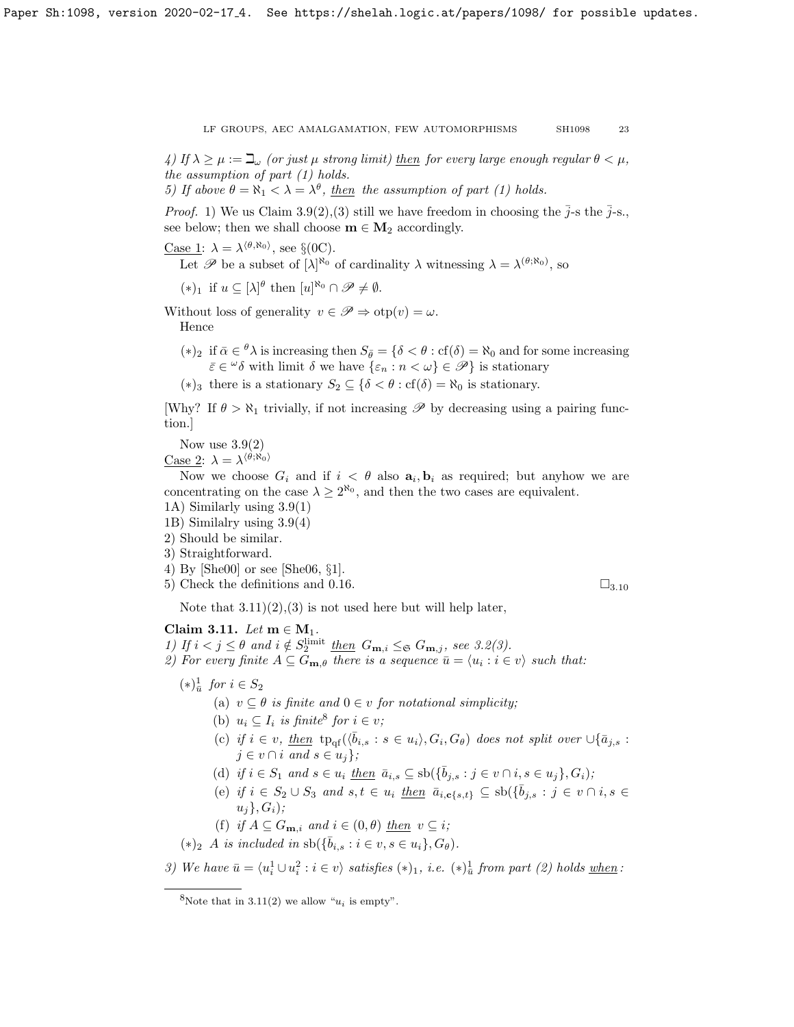4) If  $\lambda \geq \mu := \beth_\omega$  (or just  $\mu$  strong limit) then for every large enough regular  $\theta < \mu$ , the assumption of part (1) holds.

5) If above  $\theta = \aleph_1 < \lambda = \lambda^{\theta}$ , then the assumption of part (1) holds.

*Proof.* 1) We us Claim [3.9\(](#page-21-0)2),(3) still we have freedom in choosing the  $\bar{j}$ -s the  $\bar{j}$ -s. see below; then we shall choose  $m \in M_2$  accordingly.

<u>Case 1</u>:  $\lambda = \lambda^{\langle \theta, \aleph_0 \rangle}$ , see §(0C).

Let  $\mathscr P$  be a subset of  $[\lambda]^{R_0}$  of cardinality  $\lambda$  witnessing  $\lambda = \lambda^{(\theta;R_0)}$ , so

 $(*)_1$  if  $u \subseteq [\lambda]^\theta$  then  $[u]^{\aleph_0} \cap \mathscr{P} \neq \emptyset$ .

Without loss of generality  $v \in \mathscr{P} \Rightarrow \text{otp}(v) = \omega$ . Hence

- (\*)<sub>2</sub> if  $\bar{\alpha} \in {}^{\theta}\lambda$  is increasing then  $S_{\bar{\theta}} = {\delta < \theta : cf(\delta) = \aleph_0}$  and for some increasing  $\bar{\varepsilon} \in \omega \delta$  with limit  $\delta$  we have  $\{\varepsilon_n : n < \omega\} \in \mathscr{P}\}\$  is stationary
- (∗)<sub>3</sub> there is a stationary  $S_2 \subseteq \{ \delta < \theta : \text{cf}(\delta) = \aleph_0 \text{ is stationary.} \}$

[Why? If  $\theta > \aleph_1$  trivially, if not increasing  $\mathscr P$  by decreasing using a pairing function.]

Now use  $3.9(2)$ 

<u>Case 2</u>:  $\lambda = \lambda^{\langle \theta; \aleph_0 \rangle}$ 

Now we choose  $G_i$  and if  $i < \theta$  also  $a_i, b_i$  as required; but anyhow we are concentrating on the case  $\lambda \geq 2^{\aleph_0}$ , and then the two cases are equivalent.

- 1A) Similarly using [3.9\(](#page-21-0)1)
- 1B) Similalry using [3.9\(](#page-21-0)4)
- 2) Should be similar.
- 3) Straightforward.
- 4) By [\[She00\]](#page-26-9) or see [\[She06,](#page-26-14) §1].
- 5) Check the definitions and [0.16.](#page-6-0)  $\Box$ <sub>3.[10](#page-21-1)</sub>

Note that  $3.11(2), (3)$  is not used here but will help later,

# <span id="page-22-0"></span>Claim 3.11. Let  $m \in M_1$ .

1) If  $i < j \leq \theta$  and  $i \notin S_2^{\text{limit}}$  then  $G_{\mathbf{m},i} \leq_{\mathfrak{S}} G_{\mathbf{m},j}$ , see [3.2\(](#page-17-1)3).

2) For every finite  $A \subseteq G_{\mathbf{m},\theta}$  there is a sequence  $\bar{u} = \langle u_i : i \in v \rangle$  such that:

# $(*)^{\frac{1}{u}}$  for  $i \in S_2$

- (a)  $v \subseteq \theta$  is finite and  $0 \in v$  for notational simplicity;
- (b)  $u_i \subseteq I_i$  is finite<sup>[8](#page-22-1)</sup> for  $i \in v$ ;
- (c) if  $i \in v$ , then  $tp_{\text{qf}}(\langle \bar{b}_{i,s} : s \in u_i \rangle, G_i, G_\theta)$  does not split over  $\cup \{\bar{a}_{j,s} : s \in u_i\}$  $j \in v \cap i$  and  $s \in u_i$ ;
- (d) if  $i \in S_1$  and  $s \in u_i$  then  $\bar{a}_{i,s} \subseteq \text{sb}(\{\bar{b}_{j,s} : j \in v \cap i, s \in u_j\}, G_i);$
- (e) if  $i \in S_2 \cup S_3$  and  $s, t \in u_i$  <u>then</u>  $\bar{a}_{i,c\{s,t\}} \subseteq \text{sb}(\{\bar{b}_{j,s} : j \in v \cap i, s \in \mathbb{R}\})$  $u_i$ ,  $G_i$ );
- (f) if  $A \subseteq G_{\mathbf{m},i}$  and  $i \in (0,\theta)$  then  $v \subseteq i$ ;

$$
(*)_2 \ \ A \ \ is \ included \ \ in \ \mathrm{sb}(\{\bar{b}_{i,s} : i \in v, s \in u_i\}, G_\theta).
$$

3) We have  $\bar{u} = \langle u_i^1 \cup u_i^2 : i \in v \rangle$  satisfies  $(*)_1$ , i.e.  $(*)_u^1$  from part (2) holds <u>when</u>:

<span id="page-22-1"></span><sup>&</sup>lt;sup>8</sup>Note that in [3.11\(](#page-22-0)2) we allow " $u_i$  is empty".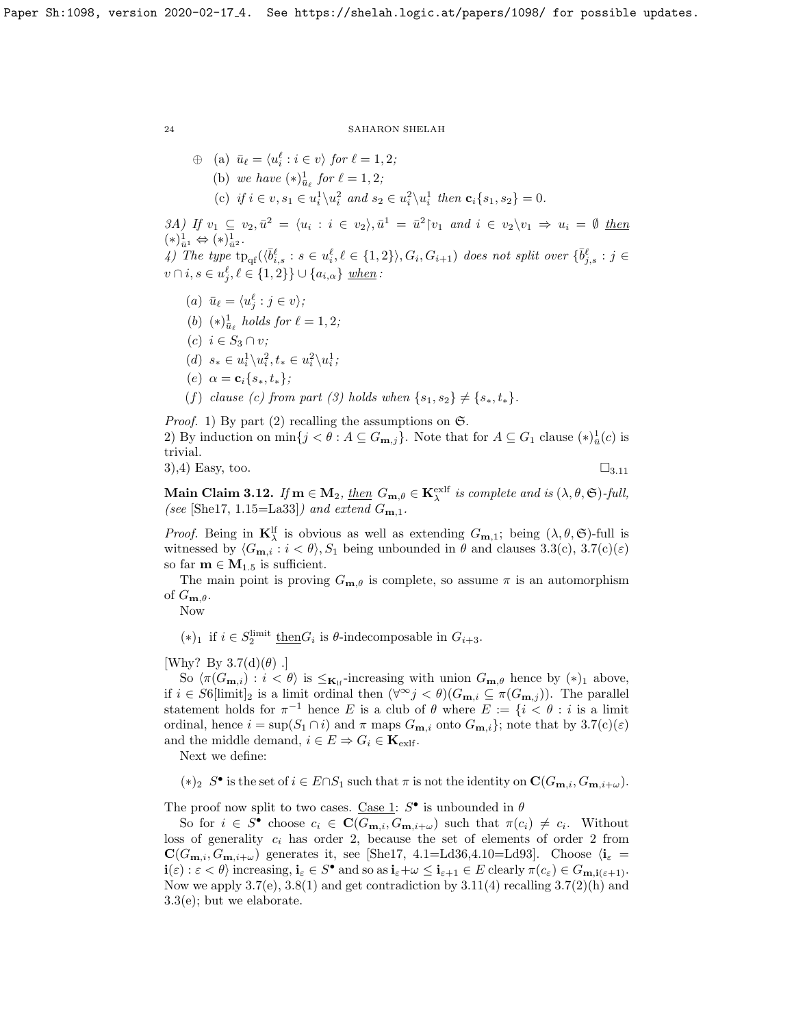$$
\begin{aligned}\n\oplus \quad & \text{(a)} \ \ \bar{u}_{\ell} = \langle u_i^{\ell} : i \in v \rangle \ \text{for} \ \ell = 1, 2; \\
& \text{(b)} \ \ \text{we have} \ (\ast)^{1}_{\bar{u}_{\ell}} \ \text{for} \ \ell = 1, 2; \\
& \text{(c)} \ \ \text{if} \ i \in v, s_1 \in u_i^1 \backslash u_i^2 \ \text{and} \ s_2 \in u_i^2 \backslash u_i^1 \ \text{then} \ \mathbf{c}_i \{s_1, s_2\} = 0.\n\end{aligned}
$$

3A) If  $v_1 \subseteq v_2$ ,  $\bar{u}^2 = \langle u_i : i \in v_2 \rangle$ ,  $\bar{u}^1 = \bar{u}^2 | v_1$  and  $i \in v_2 \setminus v_1 \Rightarrow u_i = \emptyset$  then  $(\ast)^{1}_{\bar{u}^1} \Leftrightarrow (\ast)^{1}_{\bar{u}^2}.$  $\mathcal{A}$ ) The type  $tp_{\text{qf}}(\langle \bar{b}^{\ell}_{i,s} : s \in u^{\ell}_{i}, \ell \in \{1,2\}\rangle, G_{i}, G_{i+1})$  does not split over  $\{\bar{b}^{\ell}_{j,s} : j \in \mathcal{A}\}$  $v \cap i, s \in u_j^{\ell}, \ell \in \{1, 2\}\} \cup \{a_{i,\alpha}\}\; \underline{when}$ :

- (a)  $\bar{u}_{\ell} = \langle u_j^{\ell} : j \in v \rangle;$
- (b)  $(*)^{\frac{1}{\bar{u}_{\ell}}}$  holds for  $\ell = 1, 2;$
- $(c)$   $i \in S_3 \cap v$ ;
- (d)  $s_* \in u_i^1 \backslash u_i^2, t_* \in u_i^2 \backslash u_i^1;$
- (e)  $\alpha = c_i \{s_*, t_*\};$
- (f) clause (c) from part (3) holds when  $\{s_1, s_2\} \neq \{s_*, t_*\}.$

*Proof.* 1) By part (2) recalling the assumptions on  $\mathfrak{S}$ . 2) By induction on  $\min\{j < \theta : A \subseteq G_{\mathbf{m},j}\}\$ . Note that for  $A \subseteq G_1$  clause  $(*)\frac{1}{u}(c)$  is trivial. 3),4) Easy, too.  $\square_{3,11}$  $\square_{3,11}$  $\square_{3,11}$ 

<span id="page-23-0"></span>Main Claim 3.12. If  $m \in M_2$ , then  $G_{m,\theta} \in K_\lambda^{\text{exlf}}$  is complete and is  $(\lambda, \theta, \mathfrak{S})$ -full, (see [\[She17,](#page-26-0) 1.15=La33]) and extend  $G_{m,1}$ .

*Proof.* Being in  $\mathbf{K}_{\lambda}^{\text{lf}}$  is obvious as well as extending  $G_{\mathbf{m},1}$ ; being  $(\lambda, \theta, \mathfrak{S})$ -full is witnessed by  $\langle G_{\mathbf{m},i} : i \langle \theta \rangle, S_1$  being unbounded in  $\theta$  and clauses [3.3\(](#page-18-1)c), [3.7\(](#page-20-0)c)( $\varepsilon$ ) so far  $m \in M_{1.5}$  is sufficient.

The main point is proving  $G_{\mathbf{m},\theta}$  is complete, so assume  $\pi$  is an automorphism of  $G_{\mathbf{m},\theta}$ .

Now

(\*)<sup>1</sup> if  $i \in S_2^{\text{limit}}$  <u>then</u> $G_i$  is  $\theta$ -indecomposable in  $G_{i+3}$ .

[Why? By  $3.7(d)(\theta)$ .]

So  $\langle \pi(G_{\mathbf{m},i}) : i < \theta \rangle$  is  $\leq_{\mathbf{K}_{\text{lf}}}$ -increasing with union  $G_{\mathbf{m},\theta}$  hence by  $(*)_1$  above, if  $i \in S6$ [limit]<sub>2</sub> is a limit ordinal then  $(\forall^\infty j < \theta)(G_{\mathbf{m},i} \subseteq \pi(G_{\mathbf{m},j}))$ . The parallel statement holds for  $\pi^{-1}$  hence E is a club of  $\theta$  where  $E := \{i \le \theta : i$  is a limit ordinal, hence  $i = \sup(S_1 \cap i)$  and  $\pi$  maps  $G_{\mathbf{m},i}$  onto  $G_{\mathbf{m},i}$ }; note that by  $3.7(c)(\varepsilon)$ and the middle demand,  $i \in E \Rightarrow G_i \in \mathbf{K}_{\text{exlf}}$ .

Next we define:

(\*)<sub>2</sub> S<sup>•</sup> is the set of  $i \in E ∩ S_1$  such that π is not the identity on  $\mathbf{C}(G_{\mathbf{m},i}, G_{\mathbf{m},i+\omega})$ .

The proof now split to two cases. Case 1:  $S^{\bullet}$  is unbounded in  $\theta$ 

So for  $i \in S^{\bullet}$  choose  $c_i \in \mathbf{C}(G_{\mathbf{m},i}, G_{\mathbf{m},i+\omega})$  such that  $\pi(c_i) \neq c_i$ . Without loss of generality  $c_i$  has order 2, because the set of elements of order 2 from  $\mathbf{C}(G_{\mathbf{m},i}, G_{\mathbf{m},i+\omega})$  generates it, see [\[She17,](#page-26-0) 4.1=Ld36,4.10=Ld93]. Choose  $\langle \mathbf{i}_{\varepsilon} =$  $\mathbf{i}(\varepsilon): \varepsilon < \theta$  increasing,  $\mathbf{i}_{\varepsilon} \in S^{\bullet}$  and so as  $\mathbf{i}_{\varepsilon} + \omega \leq \mathbf{i}_{\varepsilon+1} \in E$  clearly  $\pi(c_{\varepsilon}) \in G_{\mathbf{m},\mathbf{i}(\varepsilon+1)}$ . Now we apply  $3.7(e)$ ,  $3.8(1)$  and get contradiction by  $3.11(4)$  recalling  $3.7(2)(h)$  and [3.3\(](#page-18-1)e); but we elaborate.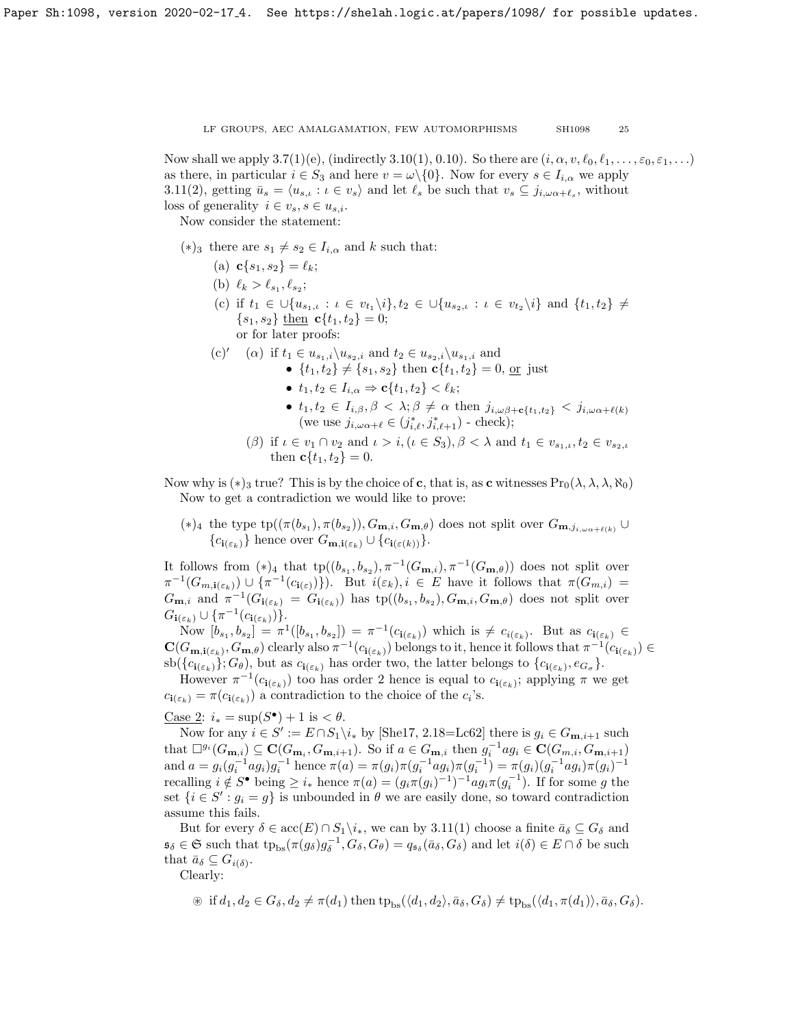Now shall we apply  $3.7(1)(e)$ , (indirectly  $3.10(1), 0.10$ ). So there are  $(i, \alpha, v, \ell_0, \ell_1, \ldots, \varepsilon_0, \varepsilon_1, \ldots)$ as there, in particular  $i \in S_3$  and here  $v = \omega \setminus \{0\}$ . Now for every  $s \in I_{i,\alpha}$  we apply [3.11\(](#page-22-0)2), getting  $\bar{u}_s = \langle u_{s,t} : t \in v_s \rangle$  and let  $\ell_s$  be such that  $v_s \subseteq j_{i,\omega_\alpha+\ell_s}$ , without loss of generality  $i \in v_s$ ,  $s \in u_{s,i}$ .

Now consider the statement:

- (\*)<sub>3</sub> there are  $s_1 \neq s_2 \in I_{i,\alpha}$  and k such that:
	- (a)  $c\{s_1, s_2\} = \ell_k;$
	- (b)  $\ell_k > \ell_{s_1}, \ell_{s_2};$
	- (c) if  $t_1 \in \bigcup \{u_{s_1,t}: t \in v_{t_1} \setminus i\}, t_2 \in \bigcup \{u_{s_2,t}: t \in v_{t_2} \setminus i\}$  and  $\{t_1, t_2\} \neq$  $\{s_1, s_2\}$  then  $c\{t_1, t_2\} = 0$ ; or for later proofs:
	- (c)' ( $\alpha$ ) if  $t_1 \in u_{s_1,i}\backslash u_{s_2,i}$  and  $t_2 \in u_{s_2,i}\backslash u_{s_1,i}$  and •  $\{t_1, t_2\} \neq \{s_1, s_2\}$  then  $c\{t_1, t_2\} = 0$ , or just
		- $t_1, t_2 \in I_{i,\alpha} \Rightarrow \mathbf{c} \{t_1, t_2\} < \ell_k;$
		- $t_1, t_2 \in I_{i,\beta}, \beta < \lambda; \beta \neq \alpha$  then  $j_{i,\omega\beta+c\{t_1,t_2\}} < j_{i,\omega\alpha+\ell(k)}$ (we use  $j_{i,\omega \alpha+\ell} \in (j_{i,\ell}^*, j_{i,\ell+1}^*)$  - check);
		- ( $\beta$ ) if  $\iota \in v_1 \cap v_2$  and  $\iota > i, (\iota \in S_3), \beta < \lambda$  and  $t_1 \in v_{s_1,\iota}, t_2 \in v_{s_2,\iota}$ then  $c\{t_1, t_2\} = 0$ .

Now why is  $(*)_3$  true? This is by the choice of c, that is, as c witnesses  $\Pr_0(\lambda, \lambda, \lambda, \aleph_0)$ Now to get a contradiction we would like to prove:

(\*)<sub>4</sub> the type  $tp((\pi(b_{s_1}), \pi(b_{s_2})), G_{m,i}, G_{m,\theta})$  does not split over  $G_{m,j_{i,\omega_{\alpha}+\ell(k)}}$  ${c_{i(\varepsilon_k)}}$  hence over  $G_{\mathbf{m},i(\varepsilon_k)} \cup {c_{i(\varepsilon(k))}}$ .

It follows from  $(*)_4$  that  $tp((b_{s_1}, b_{s_2}), \pi^{-1}(G_{\mathbf{m},i}), \pi^{-1}(G_{\mathbf{m},\theta}))$  does not split over  $\pi^{-1}(G_{m,\mathbf{i}(\varepsilon_k)})\cup\{\pi^{-1}(c_{\mathbf{i}(\varepsilon)})\}\)$ . But  $i(\varepsilon_k),i\in E$  have it follows that  $\pi(G_{m,i})=$  $G_{\mathbf{m},i}$  and  $\pi^{-1}(G_{\mathbf{i}(\varepsilon_k)} = G_{\mathbf{i}(\varepsilon_k)})$  has  $tp((b_{s_1}, b_{s_2}), G_{\mathbf{m},i}, G_{\mathbf{m},\theta})$  does not split over  $G_{\mathbf{i}(\varepsilon_k)} \cup \{\pi^{-1}(c_{\mathbf{i}(\varepsilon_k)})\}.$ 

Now  $[b_{s_1}, b_{s_2}] = \pi^1([b_{s_1}, b_{s_2}]) = \pi^{-1}(c_{\mathbf{i}(\varepsilon_k)})$  which is  $\neq c_{i(\varepsilon_k)}$ . But as  $c_{\mathbf{i}(\varepsilon_k)} \in$  $\mathbf{C}(G_{\mathbf{m},\mathbf{i}(\varepsilon_k)},G_{\mathbf{m},\theta})$  clearly also  $\pi^{-1}(c_{\mathbf{i}(\varepsilon_k)})$  belongs to it, hence it follows that  $\pi^{-1}(c_{\mathbf{i}(\varepsilon_k)}) \in$  $\operatorname{sb}(\{c_{\mathbf{i}(\varepsilon_k)}\}; G_{\theta})$ , but as  $c_{\mathbf{i}(\varepsilon_k)}$  has order two, the latter belongs to  $\{c_{\mathbf{i}(\varepsilon_k)}, e_{G_{\sigma}}\}$ .

However  $\pi^{-1}(c_{\mathbf{i}(\varepsilon_k)})$  too has order 2 hence is equal to  $c_{\mathbf{i}(\varepsilon_k)}$ ; applying  $\pi$  we get  $c_{\mathbf{i}(\varepsilon_k)} = \pi(c_{\mathbf{i}(\varepsilon_k)})$  a contradiction to the choice of the  $c_i$ 's.

<u>Case 2</u>:  $i_* = \sup(S^{\bullet}) + 1$  is  $\lt \theta$ .

Now for any  $i \in S' := E \cap S_1 \backslash i_*$  by [\[She17,](#page-26-0) 2.18=Lc62] there is  $g_i \in G_{m,i+1}$  such that  $\Box^{g_i}(G_{\mathbf{m},i}) \subseteq \mathbf{C}(G_{\mathbf{m}_i}, G_{\mathbf{m},i+1})$ . So if  $a \in G_{\mathbf{m},i}$  then  $g_i^{-1}ag_i \in \mathbf{C}(G_{m,i}, G_{\mathbf{m},i+1})$ and  $a = g_i(g_i^{-1}ag_i)g_i^{-1}$  hence  $\pi(a) = \pi(g_i)\pi(g_i^{-1}ag_i)\pi(g_i^{-1}) = \pi(g_i)(g_i^{-1}ag_i)\pi(g_i)^{-1}$ recalling  $i \notin S^{\bullet}$  being  $\geq i_{*}$  hence  $\pi(a) = (g_{i}\pi(g_{i})^{-1})^{-1}ag_{i}\pi(g_{i}^{-1})$ . If for some g the set  $\{i \in S': g_i = g\}$  is unbounded in  $\theta$  we are easily done, so toward contradiction assume this fails.

But for every  $\delta \in acc(E) \cap S_1 \backslash i_*$ , we can by  $3.11(1)$  choose a finite  $\bar{a}_{\delta} \subseteq G_{\delta}$  and  $\mathfrak{s}_{\delta} \in \mathfrak{S}$  such that  $tp_{bs}(\pi(g_{\delta})g_{\delta}^{-1}, G_{\delta}, G_{\theta}) = q_{\mathfrak{s}_{\delta}}(\bar{a}_{\delta}, G_{\delta})$  and let  $i(\delta) \in E \cap \delta$  be such that  $\bar{a}_{\delta} \subseteq G_{i(\delta)}$ .

Clearly:

$$
\text{if } d_1, d_2 \in G_\delta, d_2 \neq \pi(d_1) \text{ then } \text{tp}_{\text{bs}}(\langle d_1, d_2 \rangle, \bar{a}_\delta, G_\delta) \neq \text{tp}_{\text{bs}}(\langle d_1, \pi(d_1) \rangle, \bar{a}_\delta, G_\delta).
$$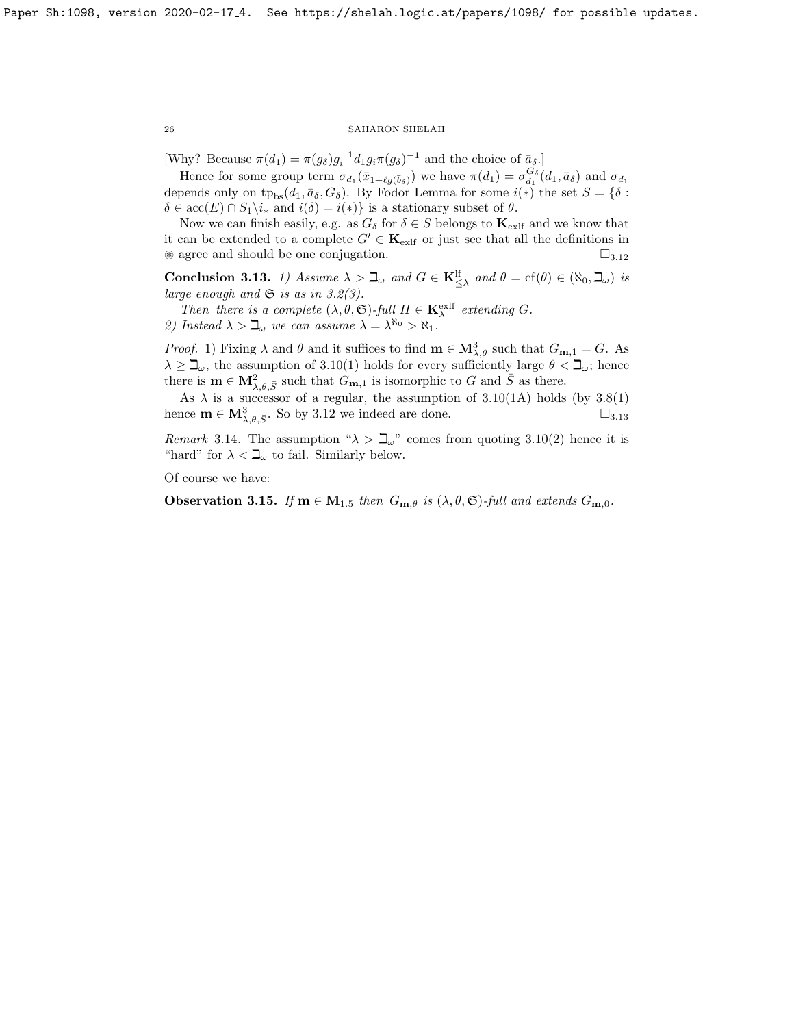[Why? Because  $\pi(d_1) = \pi(g_\delta) g_i^{-1} d_1 g_i \pi(g_\delta)^{-1}$  and the choice of  $\bar{a}_\delta$ .]

Hence for some group term  $\sigma_{d_1}(\bar{x}_{1+\ell g(\bar{b}_\delta)})$  we have  $\pi(d_1) = \sigma_{d_1}^{G_\delta}(d_1, \bar{a}_\delta)$  and  $\sigma_{d_1}$ depends only on  $tp_{bs}(d_1, \bar{a}_{\delta}, G_{\delta})$ . By Fodor Lemma for some  $i(*)$  the set  $S = \{\delta :$  $\delta \in \text{acc}(E) \cap S_1 \backslash i_*$  and  $i(\delta) = i(*)$  is a stationary subset of  $\theta$ .

Now we can finish easily, e.g. as  $G_{\delta}$  for  $\delta \in S$  belongs to  $\mathbf{K}_{\text{exlf}}$  and we know that it can be extended to a complete  $G' \in \mathbf{K}_{\text{exlf}}$  or just see that all the definitions in  $\circledast$  agree and should be one conjugation.  $\square_{3.12}$  $\square_{3.12}$  $\square_{3.12}$ 

<span id="page-25-0"></span>**Conclusion 3.13.** 1) Assume  $\lambda > \mathbb{L}_{\omega}$  and  $G \in \mathbf{K}_{\leq \lambda}^{\text{lf}}$  and  $\theta = \text{cf}(\theta) \in (\aleph_0, \mathbb{L}_{\omega})$  is large enough and  $\mathfrak S$  is as in [3.2\(](#page-17-1)3).

Then there is a complete  $(\lambda, \theta, \mathfrak{S})$ -full  $H \in \mathbf{K}_{\lambda}^{\text{exlf}}$  extending G. 2) Instead  $\lambda > \mathbb{L}_{\omega}$  we can assume  $\lambda = \lambda^{\aleph_0} > \aleph_1$ .

*Proof.* 1) Fixing  $\lambda$  and  $\theta$  and it suffices to find  $\mathbf{m} \in \mathbf{M}^3_{\lambda,\theta}$  such that  $G_{\mathbf{m},1} = G$ . As  $\lambda \geq \mathbb{L}_{\omega}$ , the assumption of [3.10\(](#page-21-1)1) holds for every sufficiently large  $\theta < \mathbb{L}_{\omega}$ ; hence there is  $\mathbf{m} \in \mathbf{M}^2_{\lambda,\theta,\bar{S}}$  such that  $G_{\mathbf{m},1}$  is isomorphic to G and  $\bar{S}$  as there.

As  $\lambda$  is a successor of a regular, the assumption of [3.10\(](#page-21-1)1A) holds (by [3.8\(](#page-20-1)1) hence  $\mathbf{m} \in \mathbf{M}^3_{\lambda,\theta,\bar{S}}$ . So by [3.12](#page-23-0) we indeed are done.  $\square_{3.13}$  $\square_{3.13}$  $\square_{3.13}$ 

Remark 3.14. The assumption " $\lambda > \mathbb{L}$ " comes from quoting [3.10\(](#page-21-1)2) hence it is "hard" for  $\lambda < \mathbb{L}_{\omega}$  to fail. Similarly below.

Of course we have:

**Observation 3.15.** If  $m \in M_{1.5}$  then  $G_{m,\theta}$  is  $(\lambda, \theta, \mathfrak{S})$ -full and extends  $G_{m,0}$ .